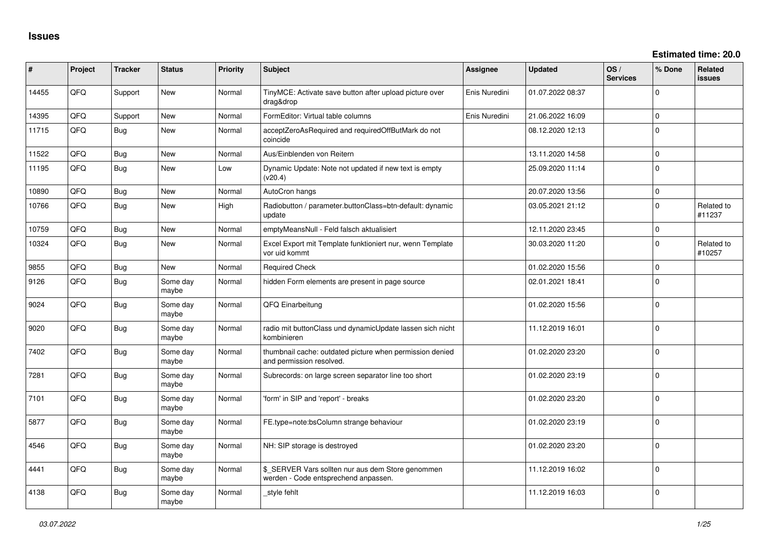| ∦     | Project | <b>Tracker</b> | <b>Status</b>     | Priority | Subject                                                                                   | <b>Assignee</b> | <b>Updated</b>   | OS/<br><b>Services</b> | % Done              | <b>Related</b><br><b>issues</b> |
|-------|---------|----------------|-------------------|----------|-------------------------------------------------------------------------------------------|-----------------|------------------|------------------------|---------------------|---------------------------------|
| 14455 | QFQ     | Support        | New               | Normal   | TinyMCE: Activate save button after upload picture over<br>drag&drop                      | Enis Nuredini   | 01.07.2022 08:37 |                        | 0                   |                                 |
| 14395 | QFQ     | Support        | New               | Normal   | FormEditor: Virtual table columns                                                         | Enis Nuredini   | 21.06.2022 16:09 |                        | $\mathbf{0}$        |                                 |
| 11715 | QFQ     | <b>Bug</b>     | New               | Normal   | acceptZeroAsRequired and requiredOffButMark do not<br>coincide                            |                 | 08.12.2020 12:13 |                        | $\Omega$            |                                 |
| 11522 | QFQ     | Bug            | New               | Normal   | Aus/Einblenden von Reitern                                                                |                 | 13.11.2020 14:58 |                        | 0                   |                                 |
| 11195 | QFQ     | Bug            | <b>New</b>        | Low      | Dynamic Update: Note not updated if new text is empty<br>(v20.4)                          |                 | 25.09.2020 11:14 |                        | $\Omega$            |                                 |
| 10890 | QFQ     | Bug            | <b>New</b>        | Normal   | AutoCron hangs                                                                            |                 | 20.07.2020 13:56 |                        | $\mathbf 0$         |                                 |
| 10766 | QFQ     | <b>Bug</b>     | New               | High     | Radiobutton / parameter.buttonClass=btn-default: dynamic<br>update                        |                 | 03.05.2021 21:12 |                        | $\Omega$            | Related to<br>#11237            |
| 10759 | QFQ     | Bug            | New               | Normal   | emptyMeansNull - Feld falsch aktualisiert                                                 |                 | 12.11.2020 23:45 |                        | $\mathsf{O}\xspace$ |                                 |
| 10324 | QFQ     | Bug            | <b>New</b>        | Normal   | Excel Export mit Template funktioniert nur, wenn Template<br>vor uid kommt                |                 | 30.03.2020 11:20 |                        | 0                   | Related to<br>#10257            |
| 9855  | QFQ     | Bug            | New               | Normal   | <b>Required Check</b>                                                                     |                 | 01.02.2020 15:56 |                        | $\mathbf{0}$        |                                 |
| 9126  | QFQ     | Bug            | Some day<br>maybe | Normal   | hidden Form elements are present in page source                                           |                 | 02.01.2021 18:41 |                        | $\Omega$            |                                 |
| 9024  | QFQ     | Bug            | Some day<br>maybe | Normal   | QFQ Einarbeitung                                                                          |                 | 01.02.2020 15:56 |                        | $\Omega$            |                                 |
| 9020  | QFQ     | Bug            | Some dav<br>maybe | Normal   | radio mit buttonClass und dynamicUpdate lassen sich nicht<br>kombinieren                  |                 | 11.12.2019 16:01 |                        | $\Omega$            |                                 |
| 7402  | QFQ     | Bug            | Some day<br>maybe | Normal   | thumbnail cache: outdated picture when permission denied<br>and permission resolved.      |                 | 01.02.2020 23:20 |                        | $\Omega$            |                                 |
| 7281  | QFQ     | <b>Bug</b>     | Some dav<br>maybe | Normal   | Subrecords: on large screen separator line too short                                      |                 | 01.02.2020 23:19 |                        | 0                   |                                 |
| 7101  | QFQ     | Bug            | Some day<br>maybe | Normal   | 'form' in SIP and 'report' - breaks                                                       |                 | 01.02.2020 23:20 |                        | $\Omega$            |                                 |
| 5877  | QFQ     | Bug            | Some dav<br>maybe | Normal   | FE.type=note:bsColumn strange behaviour                                                   |                 | 01.02.2020 23:19 |                        | $\Omega$            |                                 |
| 4546  | QFQ     | <b>Bug</b>     | Some day<br>maybe | Normal   | NH: SIP storage is destroyed                                                              |                 | 01.02.2020 23:20 |                        | $\mathbf{0}$        |                                 |
| 4441  | QFQ     | Bug            | Some day<br>maybe | Normal   | \$_SERVER Vars sollten nur aus dem Store genommen<br>werden - Code entsprechend anpassen. |                 | 11.12.2019 16:02 |                        | $\Omega$            |                                 |
| 4138  | QFQ     | <b>Bug</b>     | Some day<br>maybe | Normal   | style fehlt                                                                               |                 | 11.12.2019 16:03 |                        | $\mathbf 0$         |                                 |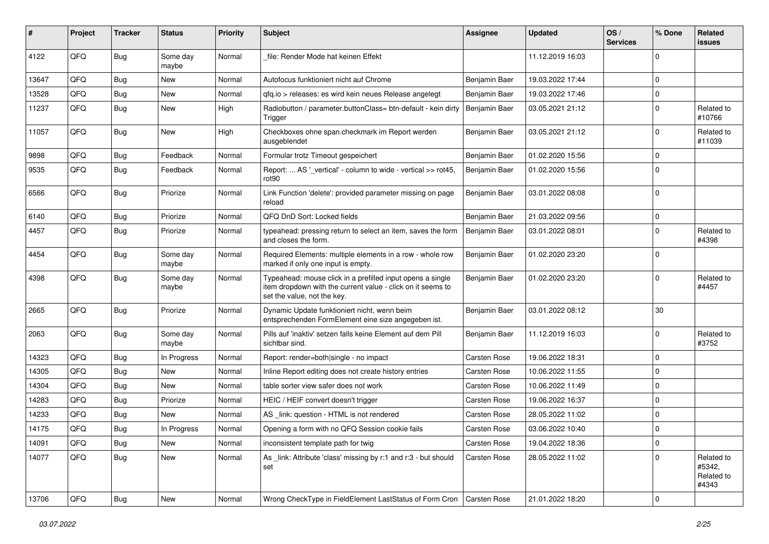| #     | Project | <b>Tracker</b> | <b>Status</b>     | <b>Priority</b> | Subject                                                                                                                                                  | <b>Assignee</b>     | <b>Updated</b>   | OS/<br><b>Services</b> | % Done      | Related<br>issues                           |
|-------|---------|----------------|-------------------|-----------------|----------------------------------------------------------------------------------------------------------------------------------------------------------|---------------------|------------------|------------------------|-------------|---------------------------------------------|
| 4122  | QFQ     | Bug            | Some day<br>maybe | Normal          | file: Render Mode hat keinen Effekt                                                                                                                      |                     | 11.12.2019 16:03 |                        | $\Omega$    |                                             |
| 13647 | QFQ     | Bug            | New               | Normal          | Autofocus funktioniert nicht auf Chrome                                                                                                                  | Benjamin Baer       | 19.03.2022 17:44 |                        | $\Omega$    |                                             |
| 13528 | QFQ     | <b>Bug</b>     | New               | Normal          | qfq.io > releases: es wird kein neues Release angelegt                                                                                                   | Benjamin Baer       | 19.03.2022 17:46 |                        | $\Omega$    |                                             |
| 11237 | QFQ     | <b>Bug</b>     | New               | High            | Radiobutton / parameter.buttonClass= btn-default - kein dirty<br>Trigger                                                                                 | Benjamin Baer       | 03.05.2021 21:12 |                        | $\Omega$    | Related to<br>#10766                        |
| 11057 | QFQ     | Bug            | New               | High            | Checkboxes ohne span.checkmark im Report werden<br>ausgeblendet                                                                                          | Benjamin Baer       | 03.05.2021 21:12 |                        | $\Omega$    | Related to<br>#11039                        |
| 9898  | QFQ     | <b>Bug</b>     | Feedback          | Normal          | Formular trotz Timeout gespeichert                                                                                                                       | Benjamin Baer       | 01.02.2020 15:56 |                        | $\mathbf 0$ |                                             |
| 9535  | QFQ     | <b>Bug</b>     | Feedback          | Normal          | Report:  AS '_vertical' - column to wide - vertical >> rot45,<br>rot90                                                                                   | Benjamin Baer       | 01.02.2020 15:56 |                        | $\Omega$    |                                             |
| 6566  | QFQ     | Bug            | Priorize          | Normal          | Link Function 'delete': provided parameter missing on page<br>reload                                                                                     | Benjamin Baer       | 03.01.2022 08:08 |                        | $\Omega$    |                                             |
| 6140  | QFQ     | <b>Bug</b>     | Priorize          | Normal          | QFQ DnD Sort: Locked fields                                                                                                                              | Benjamin Baer       | 21.03.2022 09:56 |                        | $\mathbf 0$ |                                             |
| 4457  | QFQ     | <b>Bug</b>     | Priorize          | Normal          | typeahead: pressing return to select an item, saves the form<br>and closes the form.                                                                     | Benjamin Baer       | 03.01.2022 08:01 |                        | $\Omega$    | Related to<br>#4398                         |
| 4454  | QFQ     | Bug            | Some day<br>maybe | Normal          | Required Elements: multiple elements in a row - whole row<br>marked if only one input is empty.                                                          | Benjamin Baer       | 01.02.2020 23:20 |                        | $\Omega$    |                                             |
| 4398  | QFQ     | Bug            | Some day<br>maybe | Normal          | Typeahead: mouse click in a prefilled input opens a single<br>item dropdown with the current value - click on it seems to<br>set the value, not the key. | Benjamin Baer       | 01.02.2020 23:20 |                        | $\Omega$    | Related to<br>#4457                         |
| 2665  | QFQ     | Bug            | Priorize          | Normal          | Dynamic Update funktioniert nicht, wenn beim<br>entsprechenden FormElement eine size angegeben ist.                                                      | Benjamin Baer       | 03.01.2022 08:12 |                        | 30          |                                             |
| 2063  | QFQ     | <b>Bug</b>     | Some day<br>maybe | Normal          | Pills auf 'inaktiv' setzen falls keine Element auf dem Pill<br>sichtbar sind.                                                                            | Benjamin Baer       | 11.12.2019 16:03 |                        | $\Omega$    | Related to<br>#3752                         |
| 14323 | QFQ     | <b>Bug</b>     | In Progress       | Normal          | Report: render=both single - no impact                                                                                                                   | Carsten Rose        | 19.06.2022 18:31 |                        | $\mathbf 0$ |                                             |
| 14305 | QFQ     | <b>Bug</b>     | New               | Normal          | Inline Report editing does not create history entries                                                                                                    | Carsten Rose        | 10.06.2022 11:55 |                        | $\Omega$    |                                             |
| 14304 | QFQ     | <b>Bug</b>     | New               | Normal          | table sorter view safer does not work                                                                                                                    | <b>Carsten Rose</b> | 10.06.2022 11:49 |                        | $\Omega$    |                                             |
| 14283 | QFQ     | <b>Bug</b>     | Priorize          | Normal          | HEIC / HEIF convert doesn't trigger                                                                                                                      | Carsten Rose        | 19.06.2022 16:37 |                        | $\mathbf 0$ |                                             |
| 14233 | QFQ     | <b>Bug</b>     | New               | Normal          | AS link: question - HTML is not rendered                                                                                                                 | <b>Carsten Rose</b> | 28.05.2022 11:02 |                        | $\Omega$    |                                             |
| 14175 | QFQ     | <b>Bug</b>     | In Progress       | Normal          | Opening a form with no QFQ Session cookie fails                                                                                                          | Carsten Rose        | 03.06.2022 10:40 |                        | $\mathbf 0$ |                                             |
| 14091 | QFQ     | <b>Bug</b>     | New               | Normal          | inconsistent template path for twig                                                                                                                      | Carsten Rose        | 19.04.2022 18:36 |                        | 0           |                                             |
| 14077 | QFQ     | <b>Bug</b>     | New               | Normal          | As link: Attribute 'class' missing by r:1 and r:3 - but should<br>set                                                                                    | Carsten Rose        | 28.05.2022 11:02 |                        | $\mathbf 0$ | Related to<br>#5342,<br>Related to<br>#4343 |
| 13706 | QFG     | Bug            | New               | Normal          | Wrong CheckType in FieldElement LastStatus of Form Cron                                                                                                  | Carsten Rose        | 21.01.2022 18:20 |                        | $\mathbf 0$ |                                             |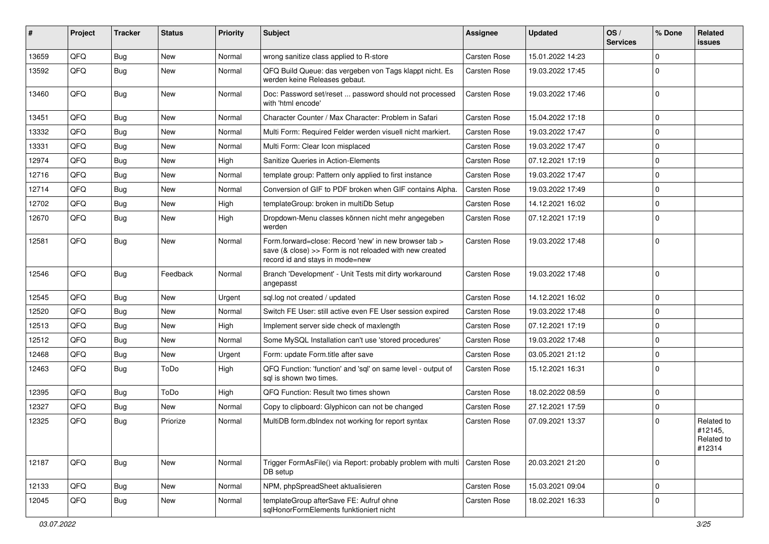| #     | Project | <b>Tracker</b> | <b>Status</b> | <b>Priority</b> | <b>Subject</b>                                                                                                                                      | <b>Assignee</b>     | <b>Updated</b>   | OS/<br><b>Services</b> | % Done              | Related<br>issues                             |
|-------|---------|----------------|---------------|-----------------|-----------------------------------------------------------------------------------------------------------------------------------------------------|---------------------|------------------|------------------------|---------------------|-----------------------------------------------|
| 13659 | QFQ     | Bug            | <b>New</b>    | Normal          | wrong sanitize class applied to R-store                                                                                                             | <b>Carsten Rose</b> | 15.01.2022 14:23 |                        | 0                   |                                               |
| 13592 | QFQ     | Bug            | <b>New</b>    | Normal          | QFQ Build Queue: das vergeben von Tags klappt nicht. Es<br>werden keine Releases gebaut.                                                            | <b>Carsten Rose</b> | 19.03.2022 17:45 |                        | 0                   |                                               |
| 13460 | QFQ     | Bug            | <b>New</b>    | Normal          | Doc: Password set/reset  password should not processed<br>with 'html encode'                                                                        | <b>Carsten Rose</b> | 19.03.2022 17:46 |                        | 0                   |                                               |
| 13451 | QFQ     | Bug            | New           | Normal          | Character Counter / Max Character: Problem in Safari                                                                                                | <b>Carsten Rose</b> | 15.04.2022 17:18 |                        | $\mathbf 0$         |                                               |
| 13332 | QFQ     | Bug            | <b>New</b>    | Normal          | Multi Form: Required Felder werden visuell nicht markiert.                                                                                          | <b>Carsten Rose</b> | 19.03.2022 17:47 |                        | 0                   |                                               |
| 13331 | QFQ     | Bug            | New           | Normal          | Multi Form: Clear Icon misplaced                                                                                                                    | <b>Carsten Rose</b> | 19.03.2022 17:47 |                        | 0                   |                                               |
| 12974 | QFQ     | Bug            | New           | High            | Sanitize Queries in Action-Elements                                                                                                                 | <b>Carsten Rose</b> | 07.12.2021 17:19 |                        | 0                   |                                               |
| 12716 | QFQ     | Bug            | New           | Normal          | template group: Pattern only applied to first instance                                                                                              | Carsten Rose        | 19.03.2022 17:47 |                        | $\mathbf 0$         |                                               |
| 12714 | QFQ     | <b>Bug</b>     | New           | Normal          | Conversion of GIF to PDF broken when GIF contains Alpha.                                                                                            | <b>Carsten Rose</b> | 19.03.2022 17:49 |                        | 0                   |                                               |
| 12702 | QFQ     | <b>Bug</b>     | New           | High            | templateGroup: broken in multiDb Setup                                                                                                              | <b>Carsten Rose</b> | 14.12.2021 16:02 |                        | 0                   |                                               |
| 12670 | QFQ     | Bug            | New           | High            | Dropdown-Menu classes können nicht mehr angegeben<br>werden                                                                                         | <b>Carsten Rose</b> | 07.12.2021 17:19 |                        | 0                   |                                               |
| 12581 | QFQ     | Bug            | New           | Normal          | Form.forward=close: Record 'new' in new browser tab ><br>save (& close) >> Form is not reloaded with new created<br>record id and stays in mode=new | <b>Carsten Rose</b> | 19.03.2022 17:48 |                        | $\mathbf 0$         |                                               |
| 12546 | QFQ     | Bug            | Feedback      | Normal          | Branch 'Development' - Unit Tests mit dirty workaround<br>angepasst                                                                                 | <b>Carsten Rose</b> | 19.03.2022 17:48 |                        | $\Omega$            |                                               |
| 12545 | QFQ     | Bug            | <b>New</b>    | Urgent          | sql.log not created / updated                                                                                                                       | <b>Carsten Rose</b> | 14.12.2021 16:02 |                        | 0                   |                                               |
| 12520 | QFQ     | Bug            | New           | Normal          | Switch FE User: still active even FE User session expired                                                                                           | <b>Carsten Rose</b> | 19.03.2022 17:48 |                        | 0                   |                                               |
| 12513 | QFQ     | Bug            | New           | High            | Implement server side check of maxlength                                                                                                            | <b>Carsten Rose</b> | 07.12.2021 17:19 |                        | 0                   |                                               |
| 12512 | QFQ     | Bug            | New           | Normal          | Some MySQL Installation can't use 'stored procedures'                                                                                               | <b>Carsten Rose</b> | 19.03.2022 17:48 |                        | 0                   |                                               |
| 12468 | QFQ     | Bug            | New           | Urgent          | Form: update Form.title after save                                                                                                                  | <b>Carsten Rose</b> | 03.05.2021 21:12 |                        | 0                   |                                               |
| 12463 | QFQ     | Bug            | ToDo          | High            | QFQ Function: 'function' and 'sql' on same level - output of<br>sal is shown two times.                                                             | <b>Carsten Rose</b> | 15.12.2021 16:31 |                        | 0                   |                                               |
| 12395 | QFQ     | Bug            | ToDo          | High            | QFQ Function: Result two times shown                                                                                                                | Carsten Rose        | 18.02.2022 08:59 |                        | 0                   |                                               |
| 12327 | QFQ     | <b>Bug</b>     | New           | Normal          | Copy to clipboard: Glyphicon can not be changed                                                                                                     | Carsten Rose        | 27.12.2021 17:59 |                        | 0                   |                                               |
| 12325 | QFQ     | Bug            | Priorize      | Normal          | MultiDB form.dblndex not working for report syntax                                                                                                  | <b>Carsten Rose</b> | 07.09.2021 13:37 |                        | 0                   | Related to<br>#12145,<br>Related to<br>#12314 |
| 12187 | QFQ     | <b>Bug</b>     | New           | Normal          | Trigger FormAsFile() via Report: probably problem with multi<br>DB setup                                                                            | Carsten Rose        | 20.03.2021 21:20 |                        | $\mathbf 0$         |                                               |
| 12133 | QFQ     | Bug            | New           | Normal          | NPM, phpSpreadSheet aktualisieren                                                                                                                   | Carsten Rose        | 15.03.2021 09:04 |                        | $\mathsf{O}\xspace$ |                                               |
| 12045 | QFQ     | <b>Bug</b>     | New           | Normal          | templateGroup afterSave FE: Aufruf ohne<br>sqlHonorFormElements funktioniert nicht                                                                  | Carsten Rose        | 18.02.2021 16:33 |                        | 0                   |                                               |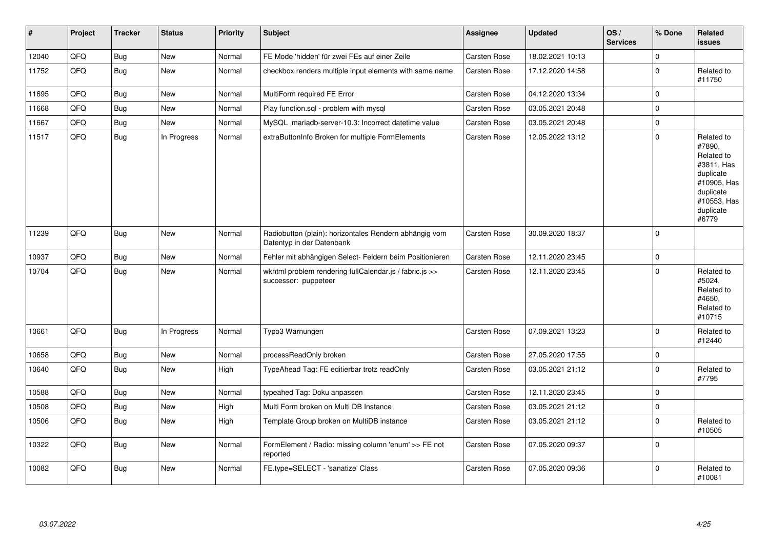| #     | Project | <b>Tracker</b> | <b>Status</b> | <b>Priority</b> | <b>Subject</b>                                                                      | Assignee     | <b>Updated</b>   | OS/<br><b>Services</b> | % Done      | Related<br><b>issues</b>                                                                                                       |
|-------|---------|----------------|---------------|-----------------|-------------------------------------------------------------------------------------|--------------|------------------|------------------------|-------------|--------------------------------------------------------------------------------------------------------------------------------|
| 12040 | QFQ     | Bug            | New           | Normal          | FE Mode 'hidden' für zwei FEs auf einer Zeile                                       | Carsten Rose | 18.02.2021 10:13 |                        | $\Omega$    |                                                                                                                                |
| 11752 | QFQ     | Bug            | New           | Normal          | checkbox renders multiple input elements with same name                             | Carsten Rose | 17.12.2020 14:58 |                        | $\mathbf 0$ | Related to<br>#11750                                                                                                           |
| 11695 | QFQ     | Bug            | New           | Normal          | MultiForm required FE Error                                                         | Carsten Rose | 04.12.2020 13:34 |                        | $\mathbf 0$ |                                                                                                                                |
| 11668 | QFQ     | Bug            | New           | Normal          | Play function.sql - problem with mysql                                              | Carsten Rose | 03.05.2021 20:48 |                        | $\mathbf 0$ |                                                                                                                                |
| 11667 | QFQ     | <b>Bug</b>     | New           | Normal          | MySQL mariadb-server-10.3: Incorrect datetime value                                 | Carsten Rose | 03.05.2021 20:48 |                        | $\mathbf 0$ |                                                                                                                                |
| 11517 | QFQ     | Bug            | In Progress   | Normal          | extraButtonInfo Broken for multiple FormElements                                    | Carsten Rose | 12.05.2022 13:12 |                        | $\mathbf 0$ | Related to<br>#7890,<br>Related to<br>#3811, Has<br>duplicate<br>#10905, Has<br>duplicate<br>#10553, Has<br>duplicate<br>#6779 |
| 11239 | QFQ     | <b>Bug</b>     | New           | Normal          | Radiobutton (plain): horizontales Rendern abhängig vom<br>Datentyp in der Datenbank | Carsten Rose | 30.09.2020 18:37 |                        | $\mathbf 0$ |                                                                                                                                |
| 10937 | QFQ     | Bug            | <b>New</b>    | Normal          | Fehler mit abhängigen Select- Feldern beim Positionieren                            | Carsten Rose | 12.11.2020 23:45 |                        | $\mathbf 0$ |                                                                                                                                |
| 10704 | QFQ     | Bug            | New           | Normal          | wkhtml problem rendering fullCalendar.js / fabric.js >><br>successor: puppeteer     | Carsten Rose | 12.11.2020 23:45 |                        | $\mathbf 0$ | Related to<br>#5024,<br>Related to<br>#4650.<br>Related to<br>#10715                                                           |
| 10661 | QFQ     | <b>Bug</b>     | In Progress   | Normal          | Typo3 Warnungen                                                                     | Carsten Rose | 07.09.2021 13:23 |                        | $\mathbf 0$ | Related to<br>#12440                                                                                                           |
| 10658 | QFQ     | Bug            | New           | Normal          | processReadOnly broken                                                              | Carsten Rose | 27.05.2020 17:55 |                        | $\mathbf 0$ |                                                                                                                                |
| 10640 | QFQ     | <b>Bug</b>     | New           | High            | TypeAhead Tag: FE editierbar trotz readOnly                                         | Carsten Rose | 03.05.2021 21:12 |                        | $\mathbf 0$ | Related to<br>#7795                                                                                                            |
| 10588 | QFQ     | Bug            | New           | Normal          | typeahed Tag: Doku anpassen                                                         | Carsten Rose | 12.11.2020 23:45 |                        | $\mathbf 0$ |                                                                                                                                |
| 10508 | QFQ     | <b>Bug</b>     | New           | High            | Multi Form broken on Multi DB Instance                                              | Carsten Rose | 03.05.2021 21:12 |                        | $\mathbf 0$ |                                                                                                                                |
| 10506 | QFQ     | <b>Bug</b>     | New           | High            | Template Group broken on MultiDB instance                                           | Carsten Rose | 03.05.2021 21:12 |                        | $\mathbf 0$ | Related to<br>#10505                                                                                                           |
| 10322 | QFQ     | Bug            | New           | Normal          | FormElement / Radio: missing column 'enum' >> FE not<br>reported                    | Carsten Rose | 07.05.2020 09:37 |                        | $\mathbf 0$ |                                                                                                                                |
| 10082 | QFQ     | Bug            | New           | Normal          | FE.type=SELECT - 'sanatize' Class                                                   | Carsten Rose | 07.05.2020 09:36 |                        | $\Omega$    | Related to<br>#10081                                                                                                           |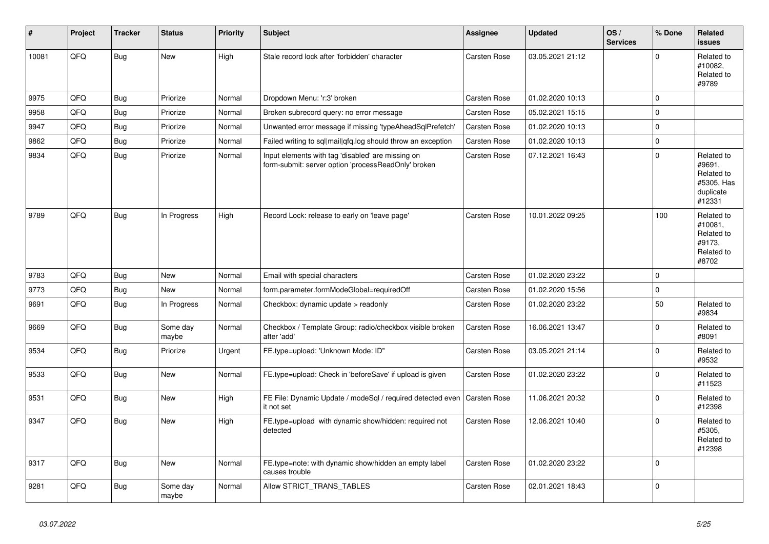| #     | Project | <b>Tracker</b> | <b>Status</b>     | <b>Priority</b> | <b>Subject</b>                                                                                           | Assignee            | <b>Updated</b>   | OS/<br><b>Services</b> | % Done      | Related<br><b>issues</b>                                                |
|-------|---------|----------------|-------------------|-----------------|----------------------------------------------------------------------------------------------------------|---------------------|------------------|------------------------|-------------|-------------------------------------------------------------------------|
| 10081 | QFQ     | <b>Bug</b>     | New               | High            | Stale record lock after 'forbidden' character                                                            | <b>Carsten Rose</b> | 03.05.2021 21:12 |                        | $\mathbf 0$ | Related to<br>#10082,<br>Related to<br>#9789                            |
| 9975  | QFQ     | <b>Bug</b>     | Priorize          | Normal          | Dropdown Menu: 'r:3' broken                                                                              | Carsten Rose        | 01.02.2020 10:13 |                        | $\mathbf 0$ |                                                                         |
| 9958  | QFQ     | Bug            | Priorize          | Normal          | Broken subrecord query: no error message                                                                 | <b>Carsten Rose</b> | 05.02.2021 15:15 |                        | $\mathbf 0$ |                                                                         |
| 9947  | QFQ     | <b>Bug</b>     | Priorize          | Normal          | Unwanted error message if missing 'typeAheadSqlPrefetch'                                                 | Carsten Rose        | 01.02.2020 10:13 |                        | $\mathbf 0$ |                                                                         |
| 9862  | QFQ     | <b>Bug</b>     | Priorize          | Normal          | Failed writing to sql mail qfq.log should throw an exception                                             | Carsten Rose        | 01.02.2020 10:13 |                        | $\pmb{0}$   |                                                                         |
| 9834  | QFQ     | <b>Bug</b>     | Priorize          | Normal          | Input elements with tag 'disabled' are missing on<br>form-submit: server option 'processReadOnly' broken | Carsten Rose        | 07.12.2021 16:43 |                        | $\Omega$    | Related to<br>#9691,<br>Related to<br>#5305, Has<br>duplicate<br>#12331 |
| 9789  | QFQ     | <b>Bug</b>     | In Progress       | High            | Record Lock: release to early on 'leave page'                                                            | <b>Carsten Rose</b> | 10.01.2022 09:25 |                        | 100         | Related to<br>#10081,<br>Related to<br>#9173,<br>Related to<br>#8702    |
| 9783  | QFQ     | Bug            | New               | Normal          | Email with special characters                                                                            | Carsten Rose        | 01.02.2020 23:22 |                        | $\mathbf 0$ |                                                                         |
| 9773  | QFQ     | <b>Bug</b>     | New               | Normal          | form.parameter.formModeGlobal=requiredOff                                                                | Carsten Rose        | 01.02.2020 15:56 |                        | $\mathbf 0$ |                                                                         |
| 9691  | QFQ     | <b>Bug</b>     | In Progress       | Normal          | Checkbox: dynamic update > readonly                                                                      | Carsten Rose        | 01.02.2020 23:22 |                        | 50          | Related to<br>#9834                                                     |
| 9669  | QFQ     | <b>Bug</b>     | Some day<br>maybe | Normal          | Checkbox / Template Group: radio/checkbox visible broken<br>after 'add'                                  | Carsten Rose        | 16.06.2021 13:47 |                        | $\mathbf 0$ | Related to<br>#8091                                                     |
| 9534  | QFQ     | Bug            | Priorize          | Urgent          | FE.type=upload: 'Unknown Mode: ID"                                                                       | Carsten Rose        | 03.05.2021 21:14 |                        | $\mathbf 0$ | Related to<br>#9532                                                     |
| 9533  | QFQ     | <b>Bug</b>     | New               | Normal          | FE.type=upload: Check in 'beforeSave' if upload is given                                                 | Carsten Rose        | 01.02.2020 23:22 |                        | $\mathbf 0$ | Related to<br>#11523                                                    |
| 9531  | QFQ     | <b>Bug</b>     | <b>New</b>        | High            | FE File: Dynamic Update / modeSql / required detected even<br>it not set                                 | Carsten Rose        | 11.06.2021 20:32 |                        | $\mathbf 0$ | Related to<br>#12398                                                    |
| 9347  | QFQ     | <b>Bug</b>     | <b>New</b>        | High            | FE.type=upload with dynamic show/hidden: required not<br>detected                                        | Carsten Rose        | 12.06.2021 10:40 |                        | $\Omega$    | Related to<br>#5305,<br>Related to<br>#12398                            |
| 9317  | QFQ     | <b>Bug</b>     | <b>New</b>        | Normal          | FE.type=note: with dynamic show/hidden an empty label<br>causes trouble                                  | Carsten Rose        | 01.02.2020 23:22 |                        | $\Omega$    |                                                                         |
| 9281  | QFQ     | <b>Bug</b>     | Some day<br>maybe | Normal          | Allow STRICT_TRANS_TABLES                                                                                | Carsten Rose        | 02.01.2021 18:43 |                        | $\mathbf 0$ |                                                                         |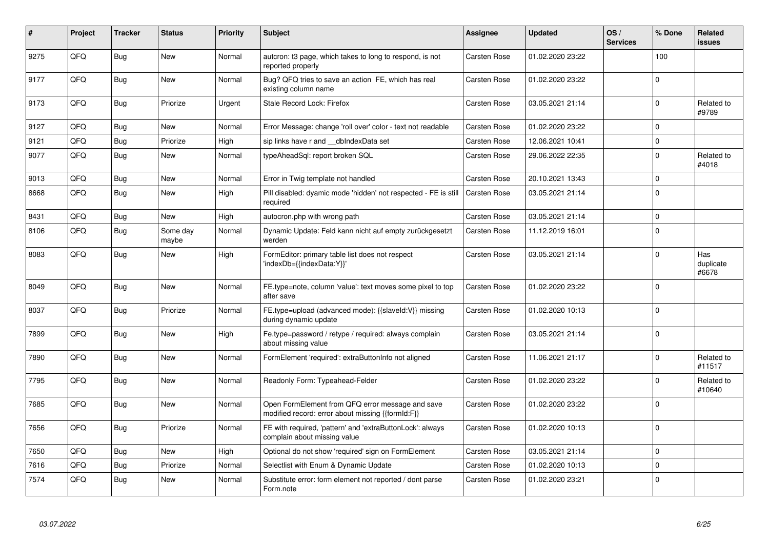| #    | Project | Tracker    | <b>Status</b>     | <b>Priority</b> | <b>Subject</b>                                                                                        | Assignee            | <b>Updated</b>   | OS/<br><b>Services</b> | % Done      | Related<br><b>issues</b>  |
|------|---------|------------|-------------------|-----------------|-------------------------------------------------------------------------------------------------------|---------------------|------------------|------------------------|-------------|---------------------------|
| 9275 | QFQ     | Bug        | <b>New</b>        | Normal          | autcron: t3 page, which takes to long to respond, is not<br>reported properly                         | <b>Carsten Rose</b> | 01.02.2020 23:22 |                        | 100         |                           |
| 9177 | QFQ     | Bug        | New               | Normal          | Bug? QFQ tries to save an action FE, which has real<br>existing column name                           | Carsten Rose        | 01.02.2020 23:22 |                        | $\Omega$    |                           |
| 9173 | QFQ     | <b>Bug</b> | Priorize          | Urgent          | Stale Record Lock: Firefox                                                                            | <b>Carsten Rose</b> | 03.05.2021 21:14 |                        | $\mathbf 0$ | Related to<br>#9789       |
| 9127 | QFQ     | Bug        | <b>New</b>        | Normal          | Error Message: change 'roll over' color - text not readable                                           | <b>Carsten Rose</b> | 01.02.2020 23:22 |                        | $\Omega$    |                           |
| 9121 | QFQ     | Bug        | Priorize          | High            | sip links have r and __dbIndexData set                                                                | <b>Carsten Rose</b> | 12.06.2021 10:41 |                        | $\Omega$    |                           |
| 9077 | QFQ     | Bug        | New               | Normal          | typeAheadSql: report broken SQL                                                                       | Carsten Rose        | 29.06.2022 22:35 |                        | $\Omega$    | Related to<br>#4018       |
| 9013 | QFQ     | Bug        | New               | Normal          | Error in Twig template not handled                                                                    | <b>Carsten Rose</b> | 20.10.2021 13:43 |                        | $\mathbf 0$ |                           |
| 8668 | QFQ     | Bug        | <b>New</b>        | High            | Pill disabled: dyamic mode 'hidden' not respected - FE is still<br>required                           | <b>Carsten Rose</b> | 03.05.2021 21:14 |                        | $\Omega$    |                           |
| 8431 | QFQ     | <b>Bug</b> | <b>New</b>        | High            | autocron.php with wrong path                                                                          | Carsten Rose        | 03.05.2021 21:14 |                        | $\Omega$    |                           |
| 8106 | QFQ     | <b>Bug</b> | Some day<br>maybe | Normal          | Dynamic Update: Feld kann nicht auf empty zurückgesetzt<br>werden                                     | Carsten Rose        | 11.12.2019 16:01 |                        | $\Omega$    |                           |
| 8083 | QFQ     | <b>Bug</b> | New               | High            | FormEditor: primary table list does not respect<br>'indexDb={{indexData:Y}}'                          | Carsten Rose        | 03.05.2021 21:14 |                        | $\Omega$    | Has<br>duplicate<br>#6678 |
| 8049 | QFQ     | Bug        | <b>New</b>        | Normal          | FE.type=note, column 'value': text moves some pixel to top<br>after save                              | Carsten Rose        | 01.02.2020 23:22 |                        | $\Omega$    |                           |
| 8037 | QFQ     | Bug        | Priorize          | Normal          | FE.type=upload (advanced mode): {{slaveId:V}} missing<br>during dynamic update                        | Carsten Rose        | 01.02.2020 10:13 |                        | $\Omega$    |                           |
| 7899 | QFQ     | Bug        | <b>New</b>        | High            | Fe.type=password / retype / required: always complain<br>about missing value                          | Carsten Rose        | 03.05.2021 21:14 |                        | $\Omega$    |                           |
| 7890 | QFQ     | Bug        | New               | Normal          | FormElement 'required': extraButtonInfo not aligned                                                   | Carsten Rose        | 11.06.2021 21:17 |                        | $\Omega$    | Related to<br>#11517      |
| 7795 | QFQ     | Bug        | New               | Normal          | Readonly Form: Typeahead-Felder                                                                       | Carsten Rose        | 01.02.2020 23:22 |                        | $\Omega$    | Related to<br>#10640      |
| 7685 | QFQ     | Bug        | <b>New</b>        | Normal          | Open FormElement from QFQ error message and save<br>modified record: error about missing {{formId:F}} | Carsten Rose        | 01.02.2020 23:22 |                        | $\Omega$    |                           |
| 7656 | QFQ     | <b>Bug</b> | Priorize          | Normal          | FE with required, 'pattern' and 'extraButtonLock': always<br>complain about missing value             | Carsten Rose        | 01.02.2020 10:13 |                        | $\Omega$    |                           |
| 7650 | QFQ     | Bug        | New               | High            | Optional do not show 'required' sign on FormElement                                                   | <b>Carsten Rose</b> | 03.05.2021 21:14 |                        | $\mathbf 0$ |                           |
| 7616 | QFQ     | <b>Bug</b> | Priorize          | Normal          | Selectlist with Enum & Dynamic Update                                                                 | Carsten Rose        | 01.02.2020 10:13 |                        | $\Omega$    |                           |
| 7574 | QFQ     | Bug        | <b>New</b>        | Normal          | Substitute error: form element not reported / dont parse<br>Form.note                                 | Carsten Rose        | 01.02.2020 23:21 |                        | $\Omega$    |                           |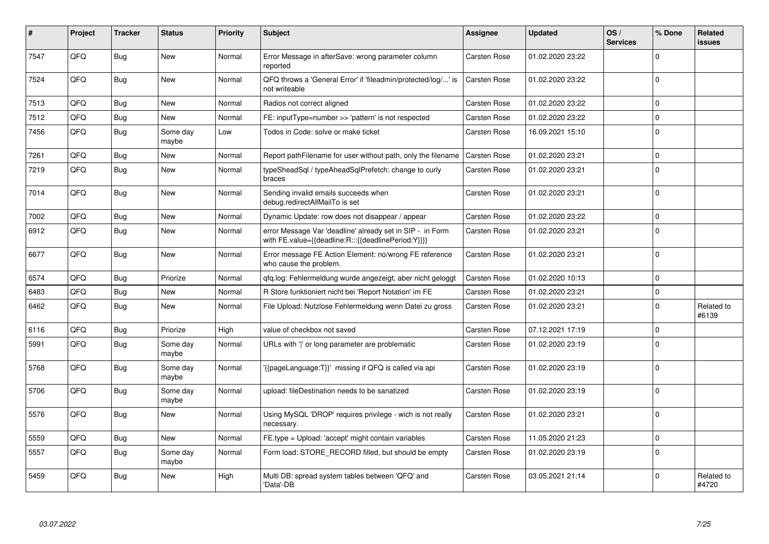| #    | Project | <b>Tracker</b> | <b>Status</b>     | <b>Priority</b> | <b>Subject</b>                                                                                                   | Assignee            | <b>Updated</b>   | OS/<br><b>Services</b> | % Done         | Related<br><b>issues</b> |
|------|---------|----------------|-------------------|-----------------|------------------------------------------------------------------------------------------------------------------|---------------------|------------------|------------------------|----------------|--------------------------|
| 7547 | QFQ     | Bug            | New               | Normal          | Error Message in afterSave: wrong parameter column<br>reported                                                   | Carsten Rose        | 01.02.2020 23:22 |                        | $\Omega$       |                          |
| 7524 | QFQ     | Bug            | New               | Normal          | QFQ throws a 'General Error' if 'fileadmin/protected/log/' is<br>not writeable                                   | <b>Carsten Rose</b> | 01.02.2020 23:22 |                        | $\overline{0}$ |                          |
| 7513 | QFQ     | <b>Bug</b>     | New               | Normal          | Radios not correct aligned                                                                                       | <b>Carsten Rose</b> | 01.02.2020 23:22 |                        | $\Omega$       |                          |
| 7512 | QFQ     | <b>Bug</b>     | New               | Normal          | FE: inputType=number >> 'pattern' is not respected                                                               | Carsten Rose        | 01.02.2020 23:22 |                        | $\Omega$       |                          |
| 7456 | QFQ     | Bug            | Some day<br>maybe | Low             | Todos in Code: solve or make ticket                                                                              | Carsten Rose        | 16.09.2021 15:10 |                        | $\Omega$       |                          |
| 7261 | QFQ     | <b>Bug</b>     | New               | Normal          | Report pathFilename for user without path, only the filename                                                     | <b>Carsten Rose</b> | 01.02.2020 23:21 |                        | $\Omega$       |                          |
| 7219 | QFQ     | <b>Bug</b>     | New               | Normal          | typeSheadSql / typeAheadSqlPrefetch: change to curly<br>braces                                                   | Carsten Rose        | 01.02.2020 23:21 |                        | $\Omega$       |                          |
| 7014 | QFQ     | Bug            | New               | Normal          | Sending invalid emails succeeds when<br>debug.redirectAllMailTo is set                                           | Carsten Rose        | 01.02.2020 23:21 |                        | $\overline{0}$ |                          |
| 7002 | QFQ     | Bug            | New               | Normal          | Dynamic Update: row does not disappear / appear                                                                  | Carsten Rose        | 01.02.2020 23:22 |                        | $\Omega$       |                          |
| 6912 | QFQ     | <b>Bug</b>     | New               | Normal          | error Message Var 'deadline' already set in SIP - in Form<br>with FE.value={{deadline:R:::{{deadlinePeriod:Y}}}} | <b>Carsten Rose</b> | 01.02.2020 23:21 |                        | $\Omega$       |                          |
| 6677 | QFQ     | Bug            | New               | Normal          | Error message FE Action Element: no/wrong FE reference<br>who cause the problem.                                 | Carsten Rose        | 01.02.2020 23:21 |                        | $\Omega$       |                          |
| 6574 | QFQ     | Bug            | Priorize          | Normal          | gfg.log: Fehlermeldung wurde angezeigt, aber nicht geloggt                                                       | <b>Carsten Rose</b> | 01.02.2020 10:13 |                        | $\Omega$       |                          |
| 6483 | QFQ     | Bug            | New               | Normal          | R Store funktioniert nicht bei 'Report Notation' im FE                                                           | Carsten Rose        | 01.02.2020 23:21 |                        | $\Omega$       |                          |
| 6462 | QFQ     | Bug            | New               | Normal          | File Upload: Nutzlose Fehlermeldung wenn Datei zu gross                                                          | Carsten Rose        | 01.02.2020 23:21 |                        | $\Omega$       | Related to<br>#6139      |
| 6116 | QFQ     | Bug            | Priorize          | High            | value of checkbox not saved                                                                                      | <b>Carsten Rose</b> | 07.12.2021 17:19 |                        | $\mathbf 0$    |                          |
| 5991 | QFQ     | Bug            | Some day<br>maybe | Normal          | URLs with 'I' or long parameter are problematic                                                                  | <b>Carsten Rose</b> | 01.02.2020 23:19 |                        | $\Omega$       |                          |
| 5768 | QFQ     | Bug            | Some day<br>maybe | Normal          | {{pageLanguage:T}}' missing if QFQ is called via api                                                             | Carsten Rose        | 01.02.2020 23:19 |                        | $\Omega$       |                          |
| 5706 | QFQ     | <b>Bug</b>     | Some day<br>maybe | Normal          | upload: fileDestination needs to be sanatized                                                                    | <b>Carsten Rose</b> | 01.02.2020 23:19 |                        | $\Omega$       |                          |
| 5576 | QFQ     | Bug            | New               | Normal          | Using MySQL 'DROP' requires privilege - wich is not really<br>necessary.                                         | <b>Carsten Rose</b> | 01.02.2020 23:21 |                        | $\Omega$       |                          |
| 5559 | QFQ     | <b>Bug</b>     | New               | Normal          | FE.type = Upload: 'accept' might contain variables                                                               | <b>Carsten Rose</b> | 11.05.2020 21:23 |                        | $\Omega$       |                          |
| 5557 | QFQ     | <b>Bug</b>     | Some day<br>maybe | Normal          | Form load: STORE_RECORD filled, but should be empty                                                              | Carsten Rose        | 01.02.2020 23:19 |                        | $\overline{0}$ |                          |
| 5459 | QFQ     | Bug            | New               | High            | Multi DB: spread system tables between 'QFQ' and<br>'Data'-DB                                                    | Carsten Rose        | 03.05.2021 21:14 |                        | $\Omega$       | Related to<br>#4720      |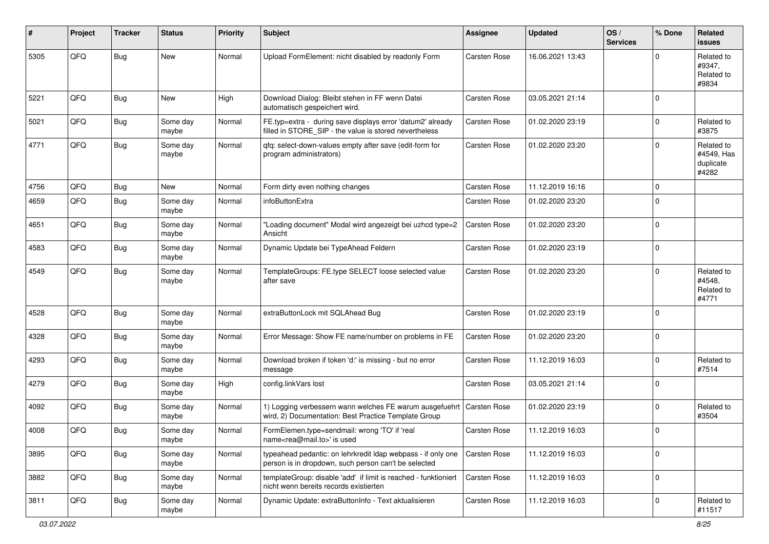| #    | Project | <b>Tracker</b> | <b>Status</b>     | <b>Priority</b> | <b>Subject</b>                                                                                                                 | Assignee            | <b>Updated</b>   | OS/<br><b>Services</b> | % Done      | <b>Related</b><br><b>issues</b>                |
|------|---------|----------------|-------------------|-----------------|--------------------------------------------------------------------------------------------------------------------------------|---------------------|------------------|------------------------|-------------|------------------------------------------------|
| 5305 | QFQ     | <b>Bug</b>     | New               | Normal          | Upload FormElement: nicht disabled by readonly Form                                                                            | Carsten Rose        | 16.06.2021 13:43 |                        | $\Omega$    | Related to<br>#9347,<br>Related to<br>#9834    |
| 5221 | QFQ     | <b>Bug</b>     | New               | High            | Download Dialog: Bleibt stehen in FF wenn Datei<br>automatisch gespeichert wird.                                               | <b>Carsten Rose</b> | 03.05.2021 21:14 |                        | $\Omega$    |                                                |
| 5021 | QFQ     | <b>Bug</b>     | Some day<br>maybe | Normal          | FE.typ=extra - during save displays error 'datum2' already<br>filled in STORE SIP - the value is stored nevertheless           | <b>Carsten Rose</b> | 01.02.2020 23:19 |                        | $\mathbf 0$ | Related to<br>#3875                            |
| 4771 | QFQ     | <b>Bug</b>     | Some day<br>maybe | Normal          | qfq: select-down-values empty after save (edit-form for<br>program administrators)                                             | Carsten Rose        | 01.02.2020 23:20 |                        | $\Omega$    | Related to<br>#4549, Has<br>duplicate<br>#4282 |
| 4756 | QFQ     | <b>Bug</b>     | <b>New</b>        | Normal          | Form dirty even nothing changes                                                                                                | <b>Carsten Rose</b> | 11.12.2019 16:16 |                        | $\mathbf 0$ |                                                |
| 4659 | QFQ     | <b>Bug</b>     | Some day<br>maybe | Normal          | infoButtonExtra                                                                                                                | Carsten Rose        | 01.02.2020 23:20 |                        | $\mathbf 0$ |                                                |
| 4651 | QFQ     | <b>Bug</b>     | Some day<br>maybe | Normal          | "Loading document" Modal wird angezeigt bei uzhcd type=2<br>Ansicht                                                            | Carsten Rose        | 01.02.2020 23:20 |                        | $\mathbf 0$ |                                                |
| 4583 | QFQ     | <b>Bug</b>     | Some day<br>maybe | Normal          | Dynamic Update bei TypeAhead Feldern                                                                                           | Carsten Rose        | 01.02.2020 23:19 |                        | $\mathbf 0$ |                                                |
| 4549 | QFQ     | <b>Bug</b>     | Some day<br>maybe | Normal          | TemplateGroups: FE.type SELECT loose selected value<br>after save                                                              | Carsten Rose        | 01.02.2020 23:20 |                        | $\mathbf 0$ | Related to<br>#4548,<br>Related to<br>#4771    |
| 4528 | QFQ     | <b>Bug</b>     | Some day<br>maybe | Normal          | extraButtonLock mit SQLAhead Bug                                                                                               | Carsten Rose        | 01.02.2020 23:19 |                        | $\mathbf 0$ |                                                |
| 4328 | QFQ     | <b>Bug</b>     | Some day<br>maybe | Normal          | Error Message: Show FE name/number on problems in FE                                                                           | Carsten Rose        | 01.02.2020 23:20 |                        | $\mathbf 0$ |                                                |
| 4293 | QFQ     | <b>Bug</b>     | Some day<br>maybe | Normal          | Download broken if token 'd:' is missing - but no error<br>message                                                             | <b>Carsten Rose</b> | 11.12.2019 16:03 |                        | $\mathbf 0$ | Related to<br>#7514                            |
| 4279 | QFQ     | <b>Bug</b>     | Some day<br>maybe | High            | config.linkVars lost                                                                                                           | Carsten Rose        | 03.05.2021 21:14 |                        | $\mathbf 0$ |                                                |
| 4092 | QFQ     | <b>Bug</b>     | Some day<br>maybe | Normal          | 1) Logging verbessern wann welches FE warum ausgefuehrt   Carsten Rose<br>wird, 2) Documentation: Best Practice Template Group |                     | 01.02.2020 23:19 |                        | $\mathbf 0$ | Related to<br>#3504                            |
| 4008 | QFQ     | <b>Bug</b>     | Some day<br>maybe | Normal          | FormElemen.type=sendmail: wrong 'TO' if 'real<br>name <rea@mail.to>' is used</rea@mail.to>                                     | <b>Carsten Rose</b> | 11.12.2019 16:03 |                        | $\mathbf 0$ |                                                |
| 3895 | QFQ     | <b>Bug</b>     | Some day<br>maybe | Normal          | typeahead pedantic: on lehrkredit Idap webpass - if only one<br>person is in dropdown, such person can't be selected           | Carsten Rose        | 11.12.2019 16:03 |                        | $\mathbf 0$ |                                                |
| 3882 | QFQ     | <b>Bug</b>     | Some day<br>maybe | Normal          | templateGroup: disable 'add' if limit is reached - funktioniert<br>nicht wenn bereits records existierten                      | <b>Carsten Rose</b> | 11.12.2019 16:03 |                        | $\mathbf 0$ |                                                |
| 3811 | QFQ     | <b>Bug</b>     | Some day<br>maybe | Normal          | Dynamic Update: extraButtonInfo - Text aktualisieren                                                                           | Carsten Rose        | 11.12.2019 16:03 |                        | $\mathbf 0$ | Related to<br>#11517                           |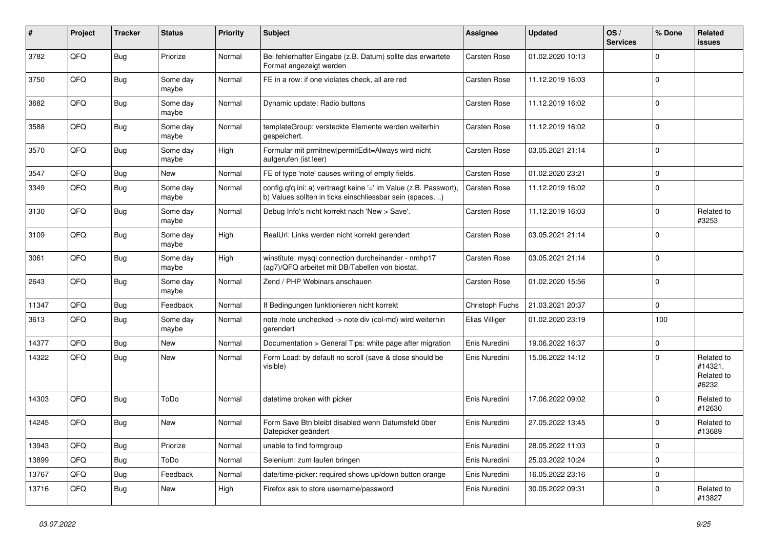| #     | <b>Project</b> | Tracker    | <b>Status</b>     | <b>Priority</b> | <b>Subject</b>                                                                                                                | Assignee            | <b>Updated</b>   | OS/<br><b>Services</b> | % Done      | Related<br>issues                            |
|-------|----------------|------------|-------------------|-----------------|-------------------------------------------------------------------------------------------------------------------------------|---------------------|------------------|------------------------|-------------|----------------------------------------------|
| 3782  | QFQ            | <b>Bug</b> | Priorize          | Normal          | Bei fehlerhafter Eingabe (z.B. Datum) sollte das erwartete<br>Format angezeigt werden                                         | <b>Carsten Rose</b> | 01.02.2020 10:13 |                        | $\Omega$    |                                              |
| 3750  | QFQ            | <b>Bug</b> | Some day<br>maybe | Normal          | FE in a row: if one violates check, all are red                                                                               | <b>Carsten Rose</b> | 11.12.2019 16:03 |                        | $\Omega$    |                                              |
| 3682  | QFQ            | Bug        | Some day<br>maybe | Normal          | Dynamic update: Radio buttons                                                                                                 | Carsten Rose        | 11.12.2019 16:02 |                        | $\Omega$    |                                              |
| 3588  | QFQ            | <b>Bug</b> | Some day<br>maybe | Normal          | templateGroup: versteckte Elemente werden weiterhin<br>gespeichert.                                                           | <b>Carsten Rose</b> | 11.12.2019 16:02 |                        | $\mathbf 0$ |                                              |
| 3570  | QFQ            | <b>Bug</b> | Some day<br>maybe | High            | Formular mit prmitnew   permitEdit=Always wird nicht<br>aufgerufen (ist leer)                                                 | <b>Carsten Rose</b> | 03.05.2021 21:14 |                        | $\Omega$    |                                              |
| 3547  | QFQ            | Bug        | New               | Normal          | FE of type 'note' causes writing of empty fields.                                                                             | Carsten Rose        | 01.02.2020 23:21 |                        | $\mathbf 0$ |                                              |
| 3349  | QFQ            | Bug        | Some day<br>maybe | Normal          | config.qfq.ini: a) vertraegt keine '=' im Value (z.B. Passwort),<br>b) Values sollten in ticks einschliessbar sein (spaces, ) | <b>Carsten Rose</b> | 11.12.2019 16:02 |                        | $\Omega$    |                                              |
| 3130  | QFQ            | <b>Bug</b> | Some day<br>maybe | Normal          | Debug Info's nicht korrekt nach 'New > Save'.                                                                                 | Carsten Rose        | 11.12.2019 16:03 |                        | $\Omega$    | Related to<br>#3253                          |
| 3109  | QFQ            | Bug        | Some day<br>maybe | High            | RealUrl: Links werden nicht korrekt gerendert                                                                                 | <b>Carsten Rose</b> | 03.05.2021 21:14 |                        | $\Omega$    |                                              |
| 3061  | QFQ            | Bug        | Some day<br>maybe | High            | winstitute: mysql connection durcheinander - nmhp17<br>(ag7)/QFQ arbeitet mit DB/Tabellen von biostat.                        | <b>Carsten Rose</b> | 03.05.2021 21:14 |                        | $\mathbf 0$ |                                              |
| 2643  | QFQ            | <b>Bug</b> | Some day<br>maybe | Normal          | Zend / PHP Webinars anschauen                                                                                                 | <b>Carsten Rose</b> | 01.02.2020 15:56 |                        | $\Omega$    |                                              |
| 11347 | QFQ            | Bug        | Feedback          | Normal          | If Bedingungen funktionieren nicht korrekt                                                                                    | Christoph Fuchs     | 21.03.2021 20:37 |                        | $\Omega$    |                                              |
| 3613  | QFQ            | Bug        | Some day<br>maybe | Normal          | note /note unchecked -> note div (col-md) wird weiterhin<br>gerendert                                                         | Elias Villiger      | 01.02.2020 23:19 |                        | 100         |                                              |
| 14377 | QFQ            | <b>Bug</b> | New               | Normal          | Documentation > General Tips: white page after migration                                                                      | Enis Nuredini       | 19.06.2022 16:37 |                        | $\Omega$    |                                              |
| 14322 | QFQ            | Bug        | New               | Normal          | Form Load: by default no scroll (save & close should be<br>visible)                                                           | Enis Nuredini       | 15.06.2022 14:12 |                        | $\Omega$    | Related to<br>#14321,<br>Related to<br>#6232 |
| 14303 | QFQ            | <b>Bug</b> | ToDo              | Normal          | datetime broken with picker                                                                                                   | Enis Nuredini       | 17.06.2022 09:02 |                        | $\mathbf 0$ | Related to<br>#12630                         |
| 14245 | QFQ            | <b>Bug</b> | New               | Normal          | Form Save Btn bleibt disabled wenn Datumsfeld über<br>Datepicker geändert                                                     | Enis Nuredini       | 27.05.2022 13:45 |                        | $\Omega$    | Related to<br>#13689                         |
| 13943 | QFQ            | Bug        | Priorize          | Normal          | unable to find formgroup                                                                                                      | Enis Nuredini       | 28.05.2022 11:03 |                        | $\Omega$    |                                              |
| 13899 | QFQ            | <b>Bug</b> | ToDo              | Normal          | Selenium: zum laufen bringen                                                                                                  | Enis Nuredini       | 25.03.2022 10:24 |                        | $\Omega$    |                                              |
| 13767 | QFQ            | <b>Bug</b> | Feedback          | Normal          | date/time-picker: required shows up/down button orange                                                                        | Enis Nuredini       | 16.05.2022 23:16 |                        | $\Omega$    |                                              |
| 13716 | QFQ            | Bug        | <b>New</b>        | High            | Firefox ask to store username/password                                                                                        | Enis Nuredini       | 30.05.2022 09:31 |                        | $\Omega$    | Related to<br>#13827                         |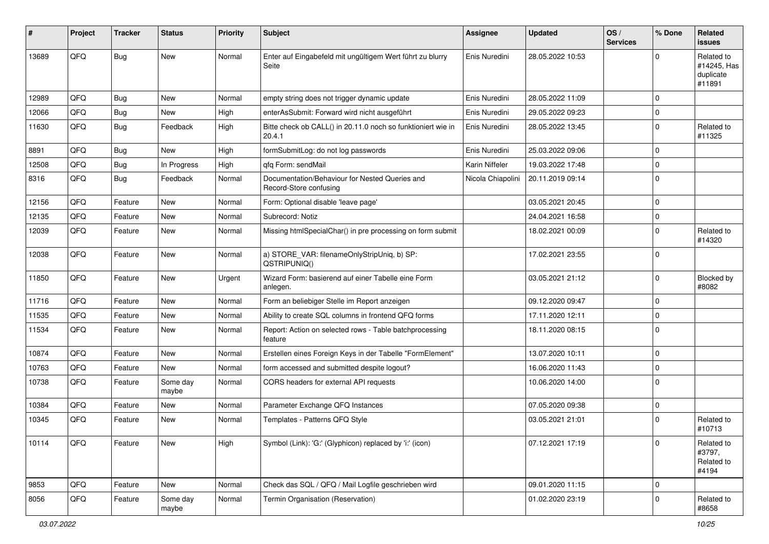| ∦     | Project | <b>Tracker</b> | <b>Status</b>     | <b>Priority</b> | <b>Subject</b>                                                           | <b>Assignee</b>   | <b>Updated</b>   | OS/<br><b>Services</b> | % Done      | Related<br><b>issues</b>                         |
|-------|---------|----------------|-------------------|-----------------|--------------------------------------------------------------------------|-------------------|------------------|------------------------|-------------|--------------------------------------------------|
| 13689 | QFQ     | Bug            | New               | Normal          | Enter auf Eingabefeld mit ungültigem Wert führt zu blurry<br>Seite       | Enis Nuredini     | 28.05.2022 10:53 |                        | $\Omega$    | Related to<br>#14245, Has<br>duplicate<br>#11891 |
| 12989 | QFQ     | Bug            | <b>New</b>        | Normal          | empty string does not trigger dynamic update                             | Enis Nuredini     | 28.05.2022 11:09 |                        | $\Omega$    |                                                  |
| 12066 | QFQ     | <b>Bug</b>     | <b>New</b>        | High            | enterAsSubmit: Forward wird nicht ausgeführt                             | Enis Nuredini     | 29.05.2022 09:23 |                        | $\mathbf 0$ |                                                  |
| 11630 | QFQ     | Bug            | Feedback          | High            | Bitte check ob CALL() in 20.11.0 noch so funktioniert wie in<br>20.4.1   | Enis Nuredini     | 28.05.2022 13:45 |                        | $\Omega$    | Related to<br>#11325                             |
| 8891  | QFQ     | Bug            | <b>New</b>        | High            | formSubmitLog: do not log passwords                                      | Enis Nuredini     | 25.03.2022 09:06 |                        | $\mathbf 0$ |                                                  |
| 12508 | QFQ     | Bug            | In Progress       | High            | gfg Form: sendMail                                                       | Karin Niffeler    | 19.03.2022 17:48 |                        | $\mathbf 0$ |                                                  |
| 8316  | QFQ     | Bug            | Feedback          | Normal          | Documentation/Behaviour for Nested Queries and<br>Record-Store confusing | Nicola Chiapolini | 20.11.2019 09:14 |                        | $\Omega$    |                                                  |
| 12156 | QFQ     | Feature        | <b>New</b>        | Normal          | Form: Optional disable 'leave page'                                      |                   | 03.05.2021 20:45 |                        | $\mathbf 0$ |                                                  |
| 12135 | QFQ     | Feature        | <b>New</b>        | Normal          | Subrecord: Notiz                                                         |                   | 24.04.2021 16:58 |                        | $\mathbf 0$ |                                                  |
| 12039 | QFQ     | Feature        | <b>New</b>        | Normal          | Missing htmlSpecialChar() in pre processing on form submit               |                   | 18.02.2021 00:09 |                        | $\mathbf 0$ | Related to<br>#14320                             |
| 12038 | QFQ     | Feature        | <b>New</b>        | Normal          | a) STORE_VAR: filenameOnlyStripUniq, b) SP:<br>QSTRIPUNIQ()              |                   | 17.02.2021 23:55 |                        | 0           |                                                  |
| 11850 | QFQ     | Feature        | New               | Urgent          | Wizard Form: basierend auf einer Tabelle eine Form<br>anlegen.           |                   | 03.05.2021 21:12 |                        | $\Omega$    | Blocked by<br>#8082                              |
| 11716 | QFQ     | Feature        | New               | Normal          | Form an beliebiger Stelle im Report anzeigen                             |                   | 09.12.2020 09:47 |                        | $\mathbf 0$ |                                                  |
| 11535 | QFQ     | Feature        | <b>New</b>        | Normal          | Ability to create SQL columns in frontend QFQ forms                      |                   | 17.11.2020 12:11 |                        | $\Omega$    |                                                  |
| 11534 | QFQ     | Feature        | New               | Normal          | Report: Action on selected rows - Table batchprocessing<br>feature       |                   | 18.11.2020 08:15 |                        | $\mathbf 0$ |                                                  |
| 10874 | QFQ     | Feature        | <b>New</b>        | Normal          | Erstellen eines Foreign Keys in der Tabelle "FormElement"                |                   | 13.07.2020 10:11 |                        | $\mathbf 0$ |                                                  |
| 10763 | QFQ     | Feature        | New               | Normal          | form accessed and submitted despite logout?                              |                   | 16.06.2020 11:43 |                        | $\mathbf 0$ |                                                  |
| 10738 | QFQ     | Feature        | Some day<br>maybe | Normal          | CORS headers for external API requests                                   |                   | 10.06.2020 14:00 |                        | $\mathbf 0$ |                                                  |
| 10384 | QFQ     | Feature        | New               | Normal          | Parameter Exchange QFQ Instances                                         |                   | 07.05.2020 09:38 |                        | 0           |                                                  |
| 10345 | QFQ     | Feature        | <b>New</b>        | Normal          | Templates - Patterns QFQ Style                                           |                   | 03.05.2021 21:01 |                        | $\Omega$    | Related to<br>#10713                             |
| 10114 | QFQ     | Feature        | New               | High            | Symbol (Link): 'G:' (Glyphicon) replaced by 'i:' (icon)                  |                   | 07.12.2021 17:19 |                        | 0           | Related to<br>#3797,<br>Related to<br>#4194      |
| 9853  | QFQ     | Feature        | New               | Normal          | Check das SQL / QFQ / Mail Logfile geschrieben wird                      |                   | 09.01.2020 11:15 |                        | 0           |                                                  |
| 8056  | QFQ     | Feature        | Some day<br>maybe | Normal          | Termin Organisation (Reservation)                                        |                   | 01.02.2020 23:19 |                        | $\mathbf 0$ | Related to<br>#8658                              |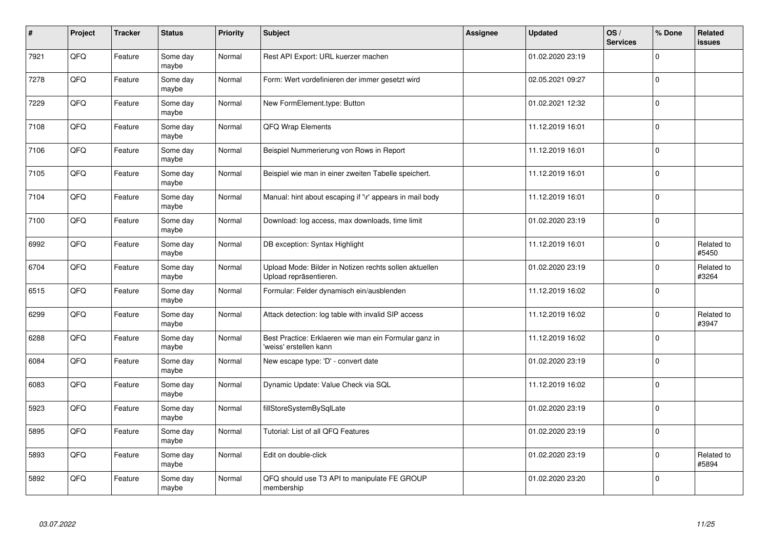| $\vert$ # | Project | <b>Tracker</b> | <b>Status</b>     | <b>Priority</b> | <b>Subject</b>                                                                   | Assignee | <b>Updated</b>   | OS/<br><b>Services</b> | % Done      | Related<br><b>issues</b> |
|-----------|---------|----------------|-------------------|-----------------|----------------------------------------------------------------------------------|----------|------------------|------------------------|-------------|--------------------------|
| 7921      | QFQ     | Feature        | Some day<br>maybe | Normal          | Rest API Export: URL kuerzer machen                                              |          | 01.02.2020 23:19 |                        | $\Omega$    |                          |
| 7278      | QFQ     | Feature        | Some day<br>maybe | Normal          | Form: Wert vordefinieren der immer gesetzt wird                                  |          | 02.05.2021 09:27 |                        | $\Omega$    |                          |
| 7229      | QFQ     | Feature        | Some day<br>maybe | Normal          | New FormElement.type: Button                                                     |          | 01.02.2021 12:32 |                        | $\Omega$    |                          |
| 7108      | QFQ     | Feature        | Some day<br>maybe | Normal          | QFQ Wrap Elements                                                                |          | 11.12.2019 16:01 |                        | $\Omega$    |                          |
| 7106      | QFQ     | Feature        | Some day<br>maybe | Normal          | Beispiel Nummerierung von Rows in Report                                         |          | 11.12.2019 16:01 |                        | $\Omega$    |                          |
| 7105      | QFQ     | Feature        | Some day<br>maybe | Normal          | Beispiel wie man in einer zweiten Tabelle speichert.                             |          | 11.12.2019 16:01 |                        | $\Omega$    |                          |
| 7104      | QFQ     | Feature        | Some day<br>maybe | Normal          | Manual: hint about escaping if '\r' appears in mail body                         |          | 11.12.2019 16:01 |                        | $\Omega$    |                          |
| 7100      | QFQ     | Feature        | Some day<br>maybe | Normal          | Download: log access, max downloads, time limit                                  |          | 01.02.2020 23:19 |                        | $\Omega$    |                          |
| 6992      | QFQ     | Feature        | Some day<br>maybe | Normal          | DB exception: Syntax Highlight                                                   |          | 11.12.2019 16:01 |                        | $\Omega$    | Related to<br>#5450      |
| 6704      | QFQ     | Feature        | Some day<br>maybe | Normal          | Upload Mode: Bilder in Notizen rechts sollen aktuellen<br>Upload repräsentieren. |          | 01.02.2020 23:19 |                        | $\Omega$    | Related to<br>#3264      |
| 6515      | QFQ     | Feature        | Some day<br>maybe | Normal          | Formular: Felder dynamisch ein/ausblenden                                        |          | 11.12.2019 16:02 |                        | $\mathbf 0$ |                          |
| 6299      | QFQ     | Feature        | Some day<br>maybe | Normal          | Attack detection: log table with invalid SIP access                              |          | 11.12.2019 16:02 |                        | $\Omega$    | Related to<br>#3947      |
| 6288      | QFQ     | Feature        | Some day<br>maybe | Normal          | Best Practice: Erklaeren wie man ein Formular ganz in<br>'weiss' erstellen kann  |          | 11.12.2019 16:02 |                        | $\Omega$    |                          |
| 6084      | QFQ     | Feature        | Some day<br>maybe | Normal          | New escape type: 'D' - convert date                                              |          | 01.02.2020 23:19 |                        | $\Omega$    |                          |
| 6083      | QFQ     | Feature        | Some day<br>maybe | Normal          | Dynamic Update: Value Check via SQL                                              |          | 11.12.2019 16:02 |                        | $\Omega$    |                          |
| 5923      | QFQ     | Feature        | Some day<br>maybe | Normal          | fillStoreSystemBySqlLate                                                         |          | 01.02.2020 23:19 |                        | $\Omega$    |                          |
| 5895      | QFQ     | Feature        | Some day<br>maybe | Normal          | Tutorial: List of all QFQ Features                                               |          | 01.02.2020 23:19 |                        | $\Omega$    |                          |
| 5893      | QFQ     | Feature        | Some day<br>maybe | Normal          | Edit on double-click                                                             |          | 01.02.2020 23:19 |                        | $\Omega$    | Related to<br>#5894      |
| 5892      | QFQ     | Feature        | Some day<br>maybe | Normal          | QFQ should use T3 API to manipulate FE GROUP<br>membership                       |          | 01.02.2020 23:20 |                        | $\Omega$    |                          |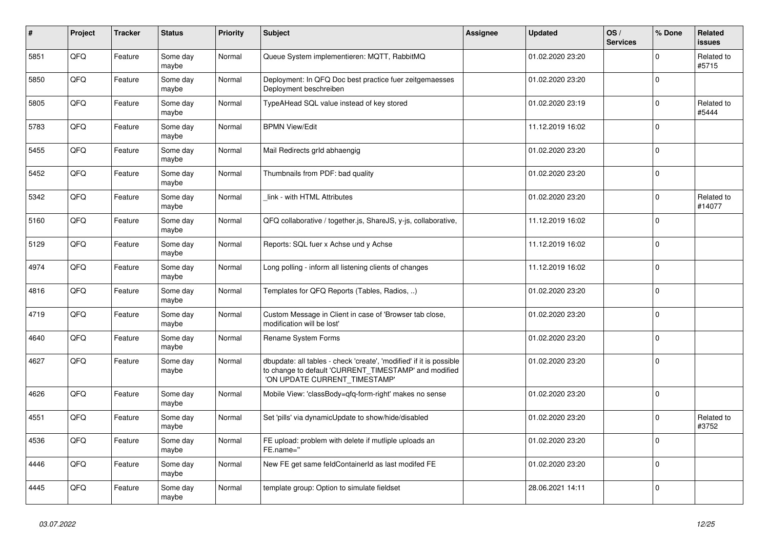| $\pmb{\#}$ | <b>Project</b> | <b>Tracker</b> | <b>Status</b>     | <b>Priority</b> | <b>Subject</b>                                                                                                                                                | Assignee | <b>Updated</b>   | OS/<br><b>Services</b> | % Done   | Related<br>issues    |
|------------|----------------|----------------|-------------------|-----------------|---------------------------------------------------------------------------------------------------------------------------------------------------------------|----------|------------------|------------------------|----------|----------------------|
| 5851       | QFQ            | Feature        | Some day<br>maybe | Normal          | Queue System implementieren: MQTT, RabbitMQ                                                                                                                   |          | 01.02.2020 23:20 |                        | $\Omega$ | Related to<br>#5715  |
| 5850       | QFQ            | Feature        | Some day<br>maybe | Normal          | Deployment: In QFQ Doc best practice fuer zeitgemaesses<br>Deployment beschreiben                                                                             |          | 01.02.2020 23:20 |                        | $\Omega$ |                      |
| 5805       | QFQ            | Feature        | Some day<br>maybe | Normal          | TypeAHead SQL value instead of key stored                                                                                                                     |          | 01.02.2020 23:19 |                        | $\Omega$ | Related to<br>#5444  |
| 5783       | QFQ            | Feature        | Some day<br>maybe | Normal          | <b>BPMN View/Edit</b>                                                                                                                                         |          | 11.12.2019 16:02 |                        | $\Omega$ |                      |
| 5455       | QFQ            | Feature        | Some day<br>maybe | Normal          | Mail Redirects grld abhaengig                                                                                                                                 |          | 01.02.2020 23:20 |                        | $\Omega$ |                      |
| 5452       | QFQ            | Feature        | Some day<br>maybe | Normal          | Thumbnails from PDF: bad quality                                                                                                                              |          | 01.02.2020 23:20 |                        | $\Omega$ |                      |
| 5342       | QFQ            | Feature        | Some day<br>maybe | Normal          | link - with HTML Attributes                                                                                                                                   |          | 01.02.2020 23:20 |                        | $\Omega$ | Related to<br>#14077 |
| 5160       | QFQ            | Feature        | Some day<br>maybe | Normal          | QFQ collaborative / together.js, ShareJS, y-js, collaborative,                                                                                                |          | 11.12.2019 16:02 |                        | $\Omega$ |                      |
| 5129       | QFQ            | Feature        | Some day<br>maybe | Normal          | Reports: SQL fuer x Achse und y Achse                                                                                                                         |          | 11.12.2019 16:02 |                        | $\Omega$ |                      |
| 4974       | QFQ            | Feature        | Some day<br>maybe | Normal          | Long polling - inform all listening clients of changes                                                                                                        |          | 11.12.2019 16:02 |                        | $\Omega$ |                      |
| 4816       | QFQ            | Feature        | Some day<br>maybe | Normal          | Templates for QFQ Reports (Tables, Radios, )                                                                                                                  |          | 01.02.2020 23:20 |                        | $\Omega$ |                      |
| 4719       | QFQ            | Feature        | Some day<br>maybe | Normal          | Custom Message in Client in case of 'Browser tab close,<br>modification will be lost'                                                                         |          | 01.02.2020 23:20 |                        | $\Omega$ |                      |
| 4640       | QFQ            | Feature        | Some day<br>maybe | Normal          | Rename System Forms                                                                                                                                           |          | 01.02.2020 23:20 |                        | $\Omega$ |                      |
| 4627       | QFQ            | Feature        | Some day<br>maybe | Normal          | dbupdate: all tables - check 'create', 'modified' if it is possible<br>to change to default 'CURRENT_TIMESTAMP' and modified<br>'ON UPDATE CURRENT_TIMESTAMP' |          | 01.02.2020 23:20 |                        | $\Omega$ |                      |
| 4626       | QFQ            | Feature        | Some day<br>maybe | Normal          | Mobile View: 'classBody=qfq-form-right' makes no sense                                                                                                        |          | 01.02.2020 23:20 |                        | $\Omega$ |                      |
| 4551       | QFQ            | Feature        | Some day<br>maybe | Normal          | Set 'pills' via dynamicUpdate to show/hide/disabled                                                                                                           |          | 01.02.2020 23:20 |                        | 0        | Related to<br>#3752  |
| 4536       | QFQ            | Feature        | Some day<br>maybe | Normal          | FE upload: problem with delete if mutliple uploads an<br>FE.name="                                                                                            |          | 01.02.2020 23:20 |                        | $\Omega$ |                      |
| 4446       | QFQ            | Feature        | Some day<br>maybe | Normal          | New FE get same feldContainerId as last modifed FE                                                                                                            |          | 01.02.2020 23:20 |                        | $\Omega$ |                      |
| 4445       | QFQ            | Feature        | Some day<br>maybe | Normal          | template group: Option to simulate fieldset                                                                                                                   |          | 28.06.2021 14:11 |                        | $\Omega$ |                      |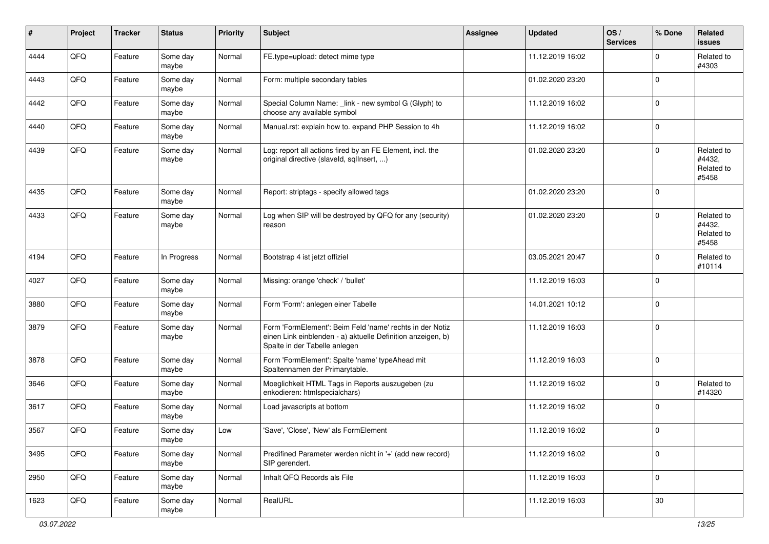| #    | Project | <b>Tracker</b> | <b>Status</b>     | <b>Priority</b> | <b>Subject</b>                                                                                                                                           | <b>Assignee</b> | <b>Updated</b>   | OS/<br><b>Services</b> | % Done         | Related<br><b>issues</b>                    |
|------|---------|----------------|-------------------|-----------------|----------------------------------------------------------------------------------------------------------------------------------------------------------|-----------------|------------------|------------------------|----------------|---------------------------------------------|
| 4444 | QFQ     | Feature        | Some day<br>maybe | Normal          | FE.type=upload: detect mime type                                                                                                                         |                 | 11.12.2019 16:02 |                        | $\Omega$       | Related to<br>#4303                         |
| 4443 | QFQ     | Feature        | Some day<br>maybe | Normal          | Form: multiple secondary tables                                                                                                                          |                 | 01.02.2020 23:20 |                        | $\overline{0}$ |                                             |
| 4442 | QFQ     | Feature        | Some day<br>maybe | Normal          | Special Column Name: _link - new symbol G (Glyph) to<br>choose any available symbol                                                                      |                 | 11.12.2019 16:02 |                        | $\mathbf 0$    |                                             |
| 4440 | QFQ     | Feature        | Some day<br>maybe | Normal          | Manual.rst: explain how to. expand PHP Session to 4h                                                                                                     |                 | 11.12.2019 16:02 |                        | $\mathbf 0$    |                                             |
| 4439 | QFQ     | Feature        | Some day<br>maybe | Normal          | Log: report all actions fired by an FE Element, incl. the<br>original directive (slaveld, sqlInsert, )                                                   |                 | 01.02.2020 23:20 |                        | $\mathbf 0$    | Related to<br>#4432,<br>Related to<br>#5458 |
| 4435 | QFQ     | Feature        | Some day<br>maybe | Normal          | Report: striptags - specify allowed tags                                                                                                                 |                 | 01.02.2020 23:20 |                        | $\Omega$       |                                             |
| 4433 | QFQ     | Feature        | Some day<br>maybe | Normal          | Log when SIP will be destroyed by QFQ for any (security)<br>reason                                                                                       |                 | 01.02.2020 23:20 |                        | $\mathbf 0$    | Related to<br>#4432,<br>Related to<br>#5458 |
| 4194 | QFQ     | Feature        | In Progress       | Normal          | Bootstrap 4 ist jetzt offiziel                                                                                                                           |                 | 03.05.2021 20:47 |                        | $\Omega$       | Related to<br>#10114                        |
| 4027 | QFQ     | Feature        | Some day<br>maybe | Normal          | Missing: orange 'check' / 'bullet'                                                                                                                       |                 | 11.12.2019 16:03 |                        | $\mathbf 0$    |                                             |
| 3880 | QFQ     | Feature        | Some day<br>maybe | Normal          | Form 'Form': anlegen einer Tabelle                                                                                                                       |                 | 14.01.2021 10:12 |                        | $\mathbf 0$    |                                             |
| 3879 | QFQ     | Feature        | Some day<br>maybe | Normal          | Form 'FormElement': Beim Feld 'name' rechts in der Notiz<br>einen Link einblenden - a) aktuelle Definition anzeigen, b)<br>Spalte in der Tabelle anlegen |                 | 11.12.2019 16:03 |                        | $\mathbf 0$    |                                             |
| 3878 | QFQ     | Feature        | Some day<br>maybe | Normal          | Form 'FormElement': Spalte 'name' typeAhead mit<br>Spaltennamen der Primarytable.                                                                        |                 | 11.12.2019 16:03 |                        | $\mathbf 0$    |                                             |
| 3646 | QFQ     | Feature        | Some day<br>maybe | Normal          | Moeglichkeit HTML Tags in Reports auszugeben (zu<br>enkodieren: htmlspecialchars)                                                                        |                 | 11.12.2019 16:02 |                        | $\Omega$       | Related to<br>#14320                        |
| 3617 | QFQ     | Feature        | Some day<br>maybe | Normal          | Load javascripts at bottom                                                                                                                               |                 | 11.12.2019 16:02 |                        | 0              |                                             |
| 3567 | QFQ     | Feature        | Some day<br>maybe | Low             | 'Save', 'Close', 'New' als FormElement                                                                                                                   |                 | 11.12.2019 16:02 |                        | 0              |                                             |
| 3495 | QFG     | Feature        | Some day<br>maybe | Normal          | Predifined Parameter werden nicht in '+' (add new record)<br>SIP gerendert.                                                                              |                 | 11.12.2019 16:02 |                        | $\mathbf 0$    |                                             |
| 2950 | QFQ     | Feature        | Some day<br>maybe | Normal          | Inhalt QFQ Records als File                                                                                                                              |                 | 11.12.2019 16:03 |                        | 0              |                                             |
| 1623 | QFQ     | Feature        | Some day<br>maybe | Normal          | RealURL                                                                                                                                                  |                 | 11.12.2019 16:03 |                        | 30             |                                             |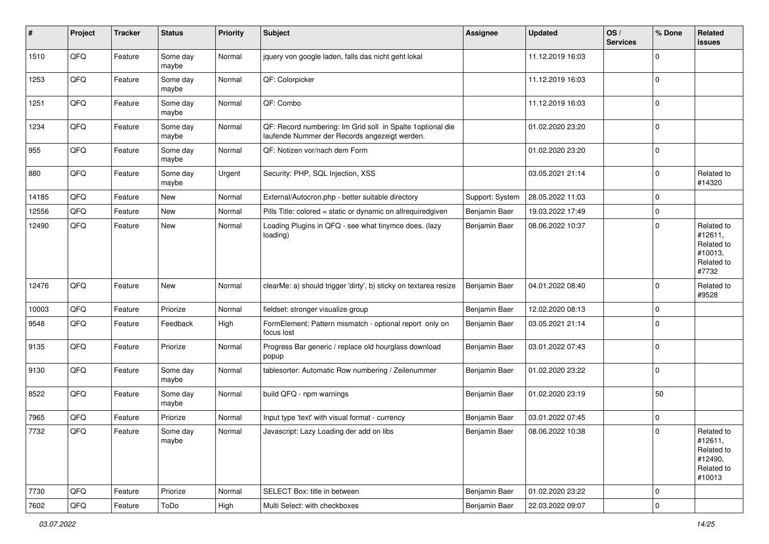| $\sharp$ | Project | <b>Tracker</b> | <b>Status</b>     | <b>Priority</b> | <b>Subject</b>                                                                                               | <b>Assignee</b> | <b>Updated</b>   | OS/<br><b>Services</b> | % Done       | Related<br><b>issues</b>                                               |
|----------|---------|----------------|-------------------|-----------------|--------------------------------------------------------------------------------------------------------------|-----------------|------------------|------------------------|--------------|------------------------------------------------------------------------|
| 1510     | QFQ     | Feature        | Some day<br>maybe | Normal          | jquery von google laden, falls das nicht geht lokal                                                          |                 | 11.12.2019 16:03 |                        | $\Omega$     |                                                                        |
| 1253     | QFQ     | Feature        | Some day<br>maybe | Normal          | QF: Colorpicker                                                                                              |                 | 11.12.2019 16:03 |                        | l 0          |                                                                        |
| 1251     | QFQ     | Feature        | Some day<br>maybe | Normal          | QF: Combo                                                                                                    |                 | 11.12.2019 16:03 |                        | $\Omega$     |                                                                        |
| 1234     | QFQ     | Feature        | Some day<br>maybe | Normal          | QF: Record numbering: Im Grid soll in Spalte 1 optional die<br>laufende Nummer der Records angezeigt werden. |                 | 01.02.2020 23:20 |                        | $\mathbf 0$  |                                                                        |
| 955      | QFQ     | Feature        | Some day<br>maybe | Normal          | QF: Notizen vor/nach dem Form                                                                                |                 | 01.02.2020 23:20 |                        | l 0          |                                                                        |
| 880      | QFQ     | Feature        | Some day<br>maybe | Urgent          | Security: PHP, SQL Injection, XSS                                                                            |                 | 03.05.2021 21:14 |                        | $\Omega$     | Related to<br>#14320                                                   |
| 14185    | QFQ     | Feature        | New               | Normal          | External/Autocron.php - better suitable directory                                                            | Support: System | 28.05.2022 11:03 |                        | $\mathbf 0$  |                                                                        |
| 12556    | QFQ     | Feature        | New               | Normal          | Pills Title: colored = static or dynamic on allrequiredgiven                                                 | Benjamin Baer   | 19.03.2022 17:49 |                        | $\mathbf 0$  |                                                                        |
| 12490    | QFQ     | Feature        | <b>New</b>        | Normal          | Loading Plugins in QFQ - see what tinymce does. (lazy<br>loading)                                            | Benjamin Baer   | 08.06.2022 10:37 |                        | $\Omega$     | Related to<br>#12611,<br>Related to<br>#10013,<br>Related to<br>#7732  |
| 12476    | QFQ     | Feature        | New               | Normal          | clearMe: a) should trigger 'dirty', b) sticky on textarea resize                                             | Benjamin Baer   | 04.01.2022 08:40 |                        | $\Omega$     | Related to<br>#9528                                                    |
| 10003    | QFQ     | Feature        | Priorize          | Normal          | fieldset: stronger visualize group                                                                           | Benjamin Baer   | 12.02.2020 08:13 |                        | $\mathbf 0$  |                                                                        |
| 9548     | QFQ     | Feature        | Feedback          | High            | FormElement: Pattern mismatch - optional report only on<br>focus lost                                        | Benjamin Baer   | 03.05.2021 21:14 |                        | $\Omega$     |                                                                        |
| 9135     | QFQ     | Feature        | Priorize          | Normal          | Progress Bar generic / replace old hourglass download<br>popup                                               | Benjamin Baer   | 03.01.2022 07:43 |                        | $\Omega$     |                                                                        |
| 9130     | QFQ     | Feature        | Some day<br>maybe | Normal          | tablesorter: Automatic Row numbering / Zeilenummer                                                           | Benjamin Baer   | 01.02.2020 23:22 |                        | $\mathbf{0}$ |                                                                        |
| 8522     | QFQ     | Feature        | Some day<br>maybe | Normal          | build QFQ - npm warnings                                                                                     | Benjamin Baer   | 01.02.2020 23:19 |                        | 50           |                                                                        |
| 7965     | QFQ     | Feature        | Priorize          | Normal          | Input type 'text' with visual format - currency                                                              | Benjamin Baer   | 03.01.2022 07:45 |                        | $\mathbf 0$  |                                                                        |
| 7732     | QFQ     | Feature        | Some day<br>maybe | Normal          | Javascript: Lazy Loading der add on libs                                                                     | Benjamin Baer   | 08.06.2022 10:38 |                        | $\Omega$     | Related to<br>#12611,<br>Related to<br>#12490,<br>Related to<br>#10013 |
| 7730     | QFQ     | Feature        | Priorize          | Normal          | SELECT Box: title in between                                                                                 | Benjamin Baer   | 01.02.2020 23:22 |                        | $\mathbf 0$  |                                                                        |
| 7602     | QFQ     | Feature        | ToDo              | High            | Multi Select: with checkboxes                                                                                | Benjamin Baer   | 22.03.2022 09:07 |                        | 0            |                                                                        |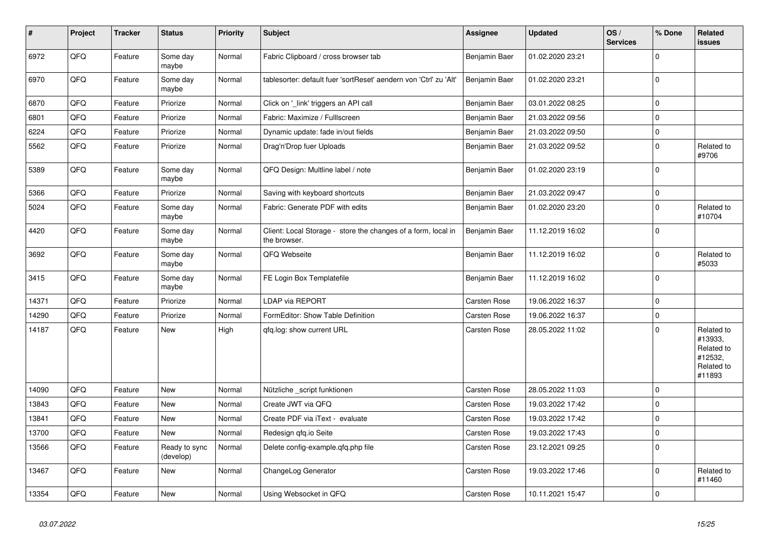| $\vert$ # | Project | <b>Tracker</b> | <b>Status</b>              | <b>Priority</b> | Subject                                                                       | Assignee      | <b>Updated</b>   | OS/<br><b>Services</b> | % Done      | Related<br><b>issues</b>                                               |
|-----------|---------|----------------|----------------------------|-----------------|-------------------------------------------------------------------------------|---------------|------------------|------------------------|-------------|------------------------------------------------------------------------|
| 6972      | QFQ     | Feature        | Some day<br>maybe          | Normal          | Fabric Clipboard / cross browser tab                                          | Benjamin Baer | 01.02.2020 23:21 |                        | $\Omega$    |                                                                        |
| 6970      | QFQ     | Feature        | Some day<br>maybe          | Normal          | tablesorter: default fuer 'sortReset' aendern von 'Ctrl' zu 'Alt'             | Benjamin Baer | 01.02.2020 23:21 |                        | $\mathbf 0$ |                                                                        |
| 6870      | QFQ     | Feature        | Priorize                   | Normal          | Click on '_link' triggers an API call                                         | Benjamin Baer | 03.01.2022 08:25 |                        | $\mathbf 0$ |                                                                        |
| 6801      | QFQ     | Feature        | Priorize                   | Normal          | Fabric: Maximize / Fulllscreen                                                | Benjamin Baer | 21.03.2022 09:56 |                        | $\mathbf 0$ |                                                                        |
| 6224      | QFQ     | Feature        | Priorize                   | Normal          | Dynamic update: fade in/out fields                                            | Benjamin Baer | 21.03.2022 09:50 |                        | $\mathbf 0$ |                                                                        |
| 5562      | QFQ     | Feature        | Priorize                   | Normal          | Drag'n'Drop fuer Uploads                                                      | Benjamin Baer | 21.03.2022 09:52 |                        | $\mathbf 0$ | Related to<br>#9706                                                    |
| 5389      | QFQ     | Feature        | Some day<br>maybe          | Normal          | QFQ Design: Multline label / note                                             | Benjamin Baer | 01.02.2020 23:19 |                        | $\mathbf 0$ |                                                                        |
| 5366      | QFQ     | Feature        | Priorize                   | Normal          | Saving with keyboard shortcuts                                                | Benjamin Baer | 21.03.2022 09:47 |                        | $\pmb{0}$   |                                                                        |
| 5024      | QFQ     | Feature        | Some day<br>maybe          | Normal          | Fabric: Generate PDF with edits                                               | Benjamin Baer | 01.02.2020 23:20 |                        | $\mathbf 0$ | Related to<br>#10704                                                   |
| 4420      | QFQ     | Feature        | Some day<br>maybe          | Normal          | Client: Local Storage - store the changes of a form, local in<br>the browser. | Benjamin Baer | 11.12.2019 16:02 |                        | 0           |                                                                        |
| 3692      | QFQ     | Feature        | Some day<br>maybe          | Normal          | QFQ Webseite                                                                  | Benjamin Baer | 11.12.2019 16:02 |                        | $\mathbf 0$ | Related to<br>#5033                                                    |
| 3415      | QFQ     | Feature        | Some day<br>maybe          | Normal          | FE Login Box Templatefile                                                     | Benjamin Baer | 11.12.2019 16:02 |                        | 0           |                                                                        |
| 14371     | QFQ     | Feature        | Priorize                   | Normal          | LDAP via REPORT                                                               | Carsten Rose  | 19.06.2022 16:37 |                        | $\pmb{0}$   |                                                                        |
| 14290     | QFQ     | Feature        | Priorize                   | Normal          | FormEditor: Show Table Definition                                             | Carsten Rose  | 19.06.2022 16:37 |                        | $\pmb{0}$   |                                                                        |
| 14187     | QFQ     | Feature        | New                        | High            | qfq.log: show current URL                                                     | Carsten Rose  | 28.05.2022 11:02 |                        | $\mathbf 0$ | Related to<br>#13933,<br>Related to<br>#12532,<br>Related to<br>#11893 |
| 14090     | QFQ     | Feature        | <b>New</b>                 | Normal          | Nützliche _script funktionen                                                  | Carsten Rose  | 28.05.2022 11:03 |                        | $\mathbf 0$ |                                                                        |
| 13843     | QFQ     | Feature        | New                        | Normal          | Create JWT via QFQ                                                            | Carsten Rose  | 19.03.2022 17:42 |                        | $\mathbf 0$ |                                                                        |
| 13841     | QFQ     | Feature        | New                        | Normal          | Create PDF via iText - evaluate                                               | Carsten Rose  | 19.03.2022 17:42 |                        | $\mathbf 0$ |                                                                        |
| 13700     | QFQ     | Feature        | New                        | Normal          | Redesign gfg.io Seite                                                         | Carsten Rose  | 19.03.2022 17:43 |                        | $\pmb{0}$   |                                                                        |
| 13566     | QFQ     | Feature        | Ready to sync<br>(develop) | Normal          | Delete config-example.gfg.php file                                            | Carsten Rose  | 23.12.2021 09:25 |                        | $\mathbf 0$ |                                                                        |
| 13467     | QFQ     | Feature        | New                        | Normal          | ChangeLog Generator                                                           | Carsten Rose  | 19.03.2022 17:46 |                        | $\Omega$    | Related to<br>#11460                                                   |
| 13354     | QFQ     | Feature        | <b>New</b>                 | Normal          | Using Websocket in QFQ                                                        | Carsten Rose  | 10.11.2021 15:47 |                        | $\mathbf 0$ |                                                                        |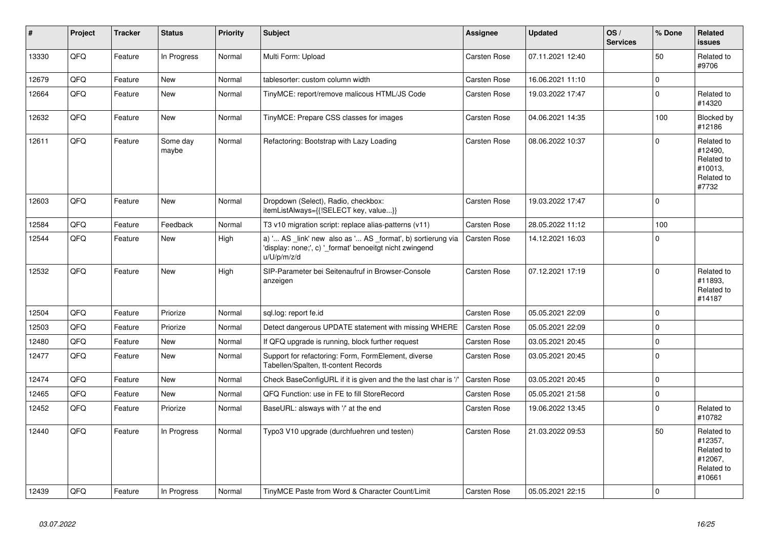| #     | Project | <b>Tracker</b> | <b>Status</b>     | <b>Priority</b> | <b>Subject</b>                                                                                                                        | <b>Assignee</b>     | <b>Updated</b>   | OS/<br><b>Services</b> | % Done      | Related<br><b>issues</b>                                               |
|-------|---------|----------------|-------------------|-----------------|---------------------------------------------------------------------------------------------------------------------------------------|---------------------|------------------|------------------------|-------------|------------------------------------------------------------------------|
| 13330 | QFQ     | Feature        | In Progress       | Normal          | Multi Form: Upload                                                                                                                    | Carsten Rose        | 07.11.2021 12:40 |                        | 50          | Related to<br>#9706                                                    |
| 12679 | QFQ     | Feature        | <b>New</b>        | Normal          | tablesorter: custom column width                                                                                                      | Carsten Rose        | 16.06.2021 11:10 |                        | $\pmb{0}$   |                                                                        |
| 12664 | QFQ     | Feature        | <b>New</b>        | Normal          | TinyMCE: report/remove malicous HTML/JS Code                                                                                          | Carsten Rose        | 19.03.2022 17:47 |                        | $\Omega$    | Related to<br>#14320                                                   |
| 12632 | QFQ     | Feature        | <b>New</b>        | Normal          | TinyMCE: Prepare CSS classes for images                                                                                               | Carsten Rose        | 04.06.2021 14:35 |                        | 100         | Blocked by<br>#12186                                                   |
| 12611 | QFQ     | Feature        | Some day<br>maybe | Normal          | Refactoring: Bootstrap with Lazy Loading                                                                                              | Carsten Rose        | 08.06.2022 10:37 |                        | $\Omega$    | Related to<br>#12490,<br>Related to<br>#10013,<br>Related to<br>#7732  |
| 12603 | QFQ     | Feature        | <b>New</b>        | Normal          | Dropdown (Select), Radio, checkbox:<br>itemListAlways={{!SELECT key, value}}                                                          | Carsten Rose        | 19.03.2022 17:47 |                        | $\Omega$    |                                                                        |
| 12584 | QFQ     | Feature        | Feedback          | Normal          | T3 v10 migration script: replace alias-patterns (v11)                                                                                 | Carsten Rose        | 28.05.2022 11:12 |                        | 100         |                                                                        |
| 12544 | QFQ     | Feature        | <b>New</b>        | High            | a) ' AS _link' new also as ' AS _format', b) sortierung via<br>'display: none;', c) ' format' benoeitgt nicht zwingend<br>u/U/p/m/z/d | <b>Carsten Rose</b> | 14.12.2021 16:03 |                        | $\Omega$    |                                                                        |
| 12532 | QFQ     | Feature        | <b>New</b>        | High            | SIP-Parameter bei Seitenaufruf in Browser-Console<br>anzeigen                                                                         | Carsten Rose        | 07.12.2021 17:19 |                        | $\Omega$    | Related to<br>#11893,<br>Related to<br>#14187                          |
| 12504 | QFQ     | Feature        | Priorize          | Normal          | sql.log: report fe.id                                                                                                                 | <b>Carsten Rose</b> | 05.05.2021 22:09 |                        | $\mathbf 0$ |                                                                        |
| 12503 | QFQ     | Feature        | Priorize          | Normal          | Detect dangerous UPDATE statement with missing WHERE                                                                                  | <b>Carsten Rose</b> | 05.05.2021 22:09 |                        | $\Omega$    |                                                                        |
| 12480 | QFQ     | Feature        | <b>New</b>        | Normal          | If QFQ upgrade is running, block further request                                                                                      | Carsten Rose        | 03.05.2021 20:45 |                        | $\Omega$    |                                                                        |
| 12477 | QFQ     | Feature        | New               | Normal          | Support for refactoring: Form, FormElement, diverse<br>Tabellen/Spalten, tt-content Records                                           | Carsten Rose        | 03.05.2021 20:45 |                        | $\Omega$    |                                                                        |
| 12474 | QFQ     | Feature        | <b>New</b>        | Normal          | Check BaseConfigURL if it is given and the the last char is '/'                                                                       | Carsten Rose        | 03.05.2021 20:45 |                        | $\Omega$    |                                                                        |
| 12465 | QFQ     | Feature        | <b>New</b>        | Normal          | QFQ Function: use in FE to fill StoreRecord                                                                                           | Carsten Rose        | 05.05.2021 21:58 |                        | $\pmb{0}$   |                                                                        |
| 12452 | QFQ     | Feature        | Priorize          | Normal          | BaseURL: alsways with '/' at the end                                                                                                  | Carsten Rose        | 19.06.2022 13:45 |                        | $\Omega$    | Related to<br>#10782                                                   |
| 12440 | QFQ     | Feature        | In Progress       | Normal          | Typo3 V10 upgrade (durchfuehren und testen)                                                                                           | Carsten Rose        | 21.03.2022 09:53 |                        | 50          | Related to<br>#12357,<br>Related to<br>#12067,<br>Related to<br>#10661 |
| 12439 | QFQ     | Feature        | In Progress       | Normal          | TinyMCE Paste from Word & Character Count/Limit                                                                                       | <b>Carsten Rose</b> | 05.05.2021 22:15 |                        | $\Omega$    |                                                                        |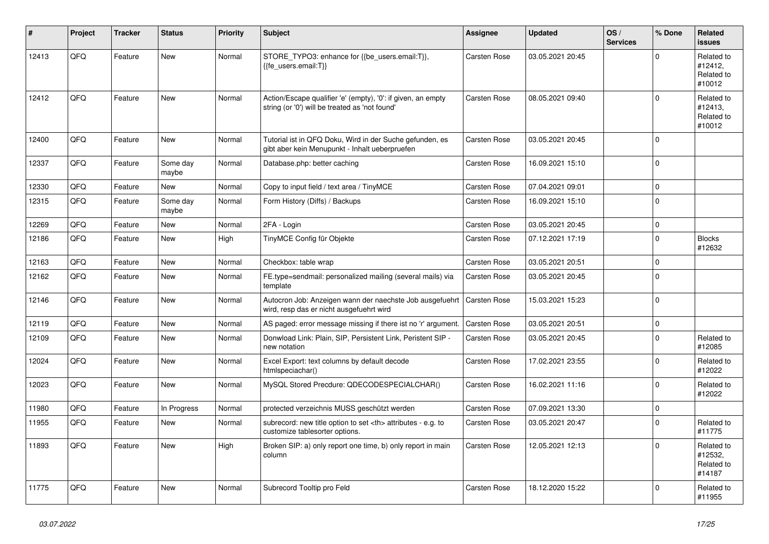| ∦     | Project | <b>Tracker</b> | <b>Status</b>     | <b>Priority</b> | <b>Subject</b>                                                                                                 | <b>Assignee</b>                                        | <b>Updated</b>   | OS/<br><b>Services</b> | % Done      | Related<br><b>issues</b>                      |                      |
|-------|---------|----------------|-------------------|-----------------|----------------------------------------------------------------------------------------------------------------|--------------------------------------------------------|------------------|------------------------|-------------|-----------------------------------------------|----------------------|
| 12413 | QFQ     | Feature        | <b>New</b>        | Normal          | STORE_TYPO3: enhance for {{be_users.email:T}},<br>{{fe users.email:T}}                                         | Carsten Rose                                           | 03.05.2021 20:45 |                        | $\Omega$    | Related to<br>#12412,<br>Related to<br>#10012 |                      |
| 12412 | QFQ     | Feature        | <b>New</b>        | Normal          | Action/Escape qualifier 'e' (empty), '0': if given, an empty<br>string (or '0') will be treated as 'not found' | Carsten Rose                                           | 08.05.2021 09:40 |                        | $\Omega$    | Related to<br>#12413.<br>Related to<br>#10012 |                      |
| 12400 | QFQ     | Feature        | <b>New</b>        | Normal          | Tutorial ist in QFQ Doku, Wird in der Suche gefunden, es<br>gibt aber kein Menupunkt - Inhalt ueberpruefen     | Carsten Rose                                           | 03.05.2021 20:45 |                        | $\Omega$    |                                               |                      |
| 12337 | QFQ     | Feature        | Some day<br>maybe | Normal          | Database.php: better caching                                                                                   | Carsten Rose                                           | 16.09.2021 15:10 |                        | $\Omega$    |                                               |                      |
| 12330 | QFQ     | Feature        | <b>New</b>        | Normal          | Copy to input field / text area / TinyMCE                                                                      | Carsten Rose                                           | 07.04.2021 09:01 |                        | $\Omega$    |                                               |                      |
| 12315 | QFQ     | Feature        | Some day<br>maybe | Normal          | Form History (Diffs) / Backups                                                                                 | Carsten Rose                                           | 16.09.2021 15:10 |                        | $\Omega$    |                                               |                      |
| 12269 | QFQ     | Feature        | <b>New</b>        | Normal          | 2FA - Login                                                                                                    | Carsten Rose                                           | 03.05.2021 20:45 |                        | $\mathbf 0$ |                                               |                      |
| 12186 | QFQ     | Feature        | <b>New</b>        | High            | TinyMCE Config für Objekte                                                                                     | Carsten Rose                                           | 07.12.2021 17:19 |                        | $\mathbf 0$ | <b>Blocks</b><br>#12632                       |                      |
| 12163 | QFQ     | Feature        | <b>New</b>        | Normal          | Checkbox: table wrap                                                                                           | Carsten Rose                                           | 03.05.2021 20:51 |                        | $\Omega$    |                                               |                      |
| 12162 | QFQ     | Feature        | <b>New</b>        | Normal          | FE.type=sendmail: personalized mailing (several mails) via<br>template                                         | Carsten Rose                                           | 03.05.2021 20:45 |                        | $\Omega$    |                                               |                      |
| 12146 | QFQ     | Feature        | <b>New</b>        | Normal          | Autocron Job: Anzeigen wann der naechste Job ausgefuehrt<br>wird, resp das er nicht ausgefuehrt wird           | Carsten Rose                                           | 15.03.2021 15:23 |                        | $\Omega$    |                                               |                      |
| 12119 | QFQ     | Feature        | <b>New</b>        | Normal          | AS paged: error message missing if there ist no 'r' argument.                                                  | Carsten Rose                                           | 03.05.2021 20:51 |                        | $\mathbf 0$ |                                               |                      |
| 12109 | QFQ     | Feature        | <b>New</b>        | Normal          | Donwload Link: Plain, SIP, Persistent Link, Peristent SIP -<br>new notation                                    | Carsten Rose                                           | 03.05.2021 20:45 |                        | $\Omega$    | Related to<br>#12085                          |                      |
| 12024 | QFQ     | Feature        | <b>New</b>        | Normal          | Excel Export: text columns by default decode<br>htmlspeciachar()                                               | Carsten Rose                                           | 17.02.2021 23:55 |                        | $\Omega$    | Related to<br>#12022                          |                      |
| 12023 | QFQ     | Feature        | <b>New</b>        | Normal          | MySQL Stored Precdure: QDECODESPECIALCHAR()                                                                    | Carsten Rose                                           | 16.02.2021 11:16 |                        | $\Omega$    | Related to<br>#12022                          |                      |
| 11980 | QFQ     | Feature        | In Progress       | Normal          | protected verzeichnis MUSS geschützt werden                                                                    | Carsten Rose                                           | 07.09.2021 13:30 |                        | $\mathbf 0$ |                                               |                      |
| 11955 | QFQ     | Feature        | <b>New</b>        | Normal          | subrecord: new title option to set <th> attributes - e.g. to<br/>customize tablesorter options.</th>           | attributes - e.g. to<br>customize tablesorter options. | Carsten Rose     | 03.05.2021 20:47       |             | $\Omega$                                      | Related to<br>#11775 |
| 11893 | QFQ     | Feature        | <b>New</b>        | High            | Broken SIP: a) only report one time, b) only report in main<br>column                                          | Carsten Rose                                           | 12.05.2021 12:13 |                        | $\Omega$    | Related to<br>#12532,<br>Related to<br>#14187 |                      |
| 11775 | QFQ     | Feature        | <b>New</b>        | Normal          | Subrecord Tooltip pro Feld                                                                                     | <b>Carsten Rose</b>                                    | 18.12.2020 15:22 |                        | $\Omega$    | Related to<br>#11955                          |                      |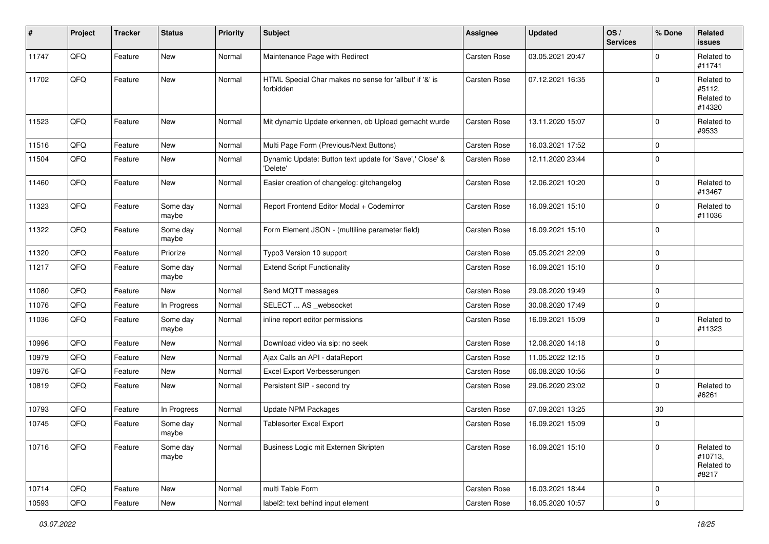| #     | Project | <b>Tracker</b> | <b>Status</b>     | <b>Priority</b> | Subject                                                              | <b>Assignee</b>     | <b>Updated</b>   | OS/<br><b>Services</b> | % Done      | Related<br><b>issues</b>                     |
|-------|---------|----------------|-------------------|-----------------|----------------------------------------------------------------------|---------------------|------------------|------------------------|-------------|----------------------------------------------|
| 11747 | QFQ     | Feature        | New               | Normal          | Maintenance Page with Redirect                                       | Carsten Rose        | 03.05.2021 20:47 |                        | $\Omega$    | Related to<br>#11741                         |
| 11702 | QFQ     | Feature        | New               | Normal          | HTML Special Char makes no sense for 'allbut' if '&' is<br>forbidden | Carsten Rose        | 07.12.2021 16:35 |                        | $\mathbf 0$ | Related to<br>#5112,<br>Related to<br>#14320 |
| 11523 | QFQ     | Feature        | New               | Normal          | Mit dynamic Update erkennen, ob Upload gemacht wurde                 | <b>Carsten Rose</b> | 13.11.2020 15:07 |                        | $\mathbf 0$ | Related to<br>#9533                          |
| 11516 | QFQ     | Feature        | <b>New</b>        | Normal          | Multi Page Form (Previous/Next Buttons)                              | <b>Carsten Rose</b> | 16.03.2021 17:52 |                        | $\mathbf 0$ |                                              |
| 11504 | QFQ     | Feature        | New               | Normal          | Dynamic Update: Button text update for 'Save',' Close' &<br>'Delete' | Carsten Rose        | 12.11.2020 23:44 |                        | $\mathbf 0$ |                                              |
| 11460 | QFQ     | Feature        | New               | Normal          | Easier creation of changelog: gitchangelog                           | <b>Carsten Rose</b> | 12.06.2021 10:20 |                        | $\mathbf 0$ | Related to<br>#13467                         |
| 11323 | QFQ     | Feature        | Some day<br>maybe | Normal          | Report Frontend Editor Modal + Codemirror                            | Carsten Rose        | 16.09.2021 15:10 |                        | $\mathbf 0$ | Related to<br>#11036                         |
| 11322 | QFQ     | Feature        | Some day<br>maybe | Normal          | Form Element JSON - (multiline parameter field)                      | <b>Carsten Rose</b> | 16.09.2021 15:10 |                        | $\mathbf 0$ |                                              |
| 11320 | QFQ     | Feature        | Priorize          | Normal          | Typo3 Version 10 support                                             | <b>Carsten Rose</b> | 05.05.2021 22:09 |                        | $\mathbf 0$ |                                              |
| 11217 | QFQ     | Feature        | Some day<br>maybe | Normal          | <b>Extend Script Functionality</b>                                   | Carsten Rose        | 16.09.2021 15:10 |                        | $\mathbf 0$ |                                              |
| 11080 | QFQ     | Feature        | New               | Normal          | Send MQTT messages                                                   | <b>Carsten Rose</b> | 29.08.2020 19:49 |                        | $\mathbf 0$ |                                              |
| 11076 | QFQ     | Feature        | In Progress       | Normal          | SELECT  AS _websocket                                                | <b>Carsten Rose</b> | 30.08.2020 17:49 |                        | $\mathbf 0$ |                                              |
| 11036 | QFQ     | Feature        | Some day<br>maybe | Normal          | inline report editor permissions                                     | Carsten Rose        | 16.09.2021 15:09 |                        | $\mathbf 0$ | Related to<br>#11323                         |
| 10996 | QFQ     | Feature        | New               | Normal          | Download video via sip: no seek                                      | Carsten Rose        | 12.08.2020 14:18 |                        | $\mathbf 0$ |                                              |
| 10979 | QFQ     | Feature        | New               | Normal          | Ajax Calls an API - dataReport                                       | <b>Carsten Rose</b> | 11.05.2022 12:15 |                        | $\mathbf 0$ |                                              |
| 10976 | QFQ     | Feature        | New               | Normal          | Excel Export Verbesserungen                                          | Carsten Rose        | 06.08.2020 10:56 |                        | $\mathbf 0$ |                                              |
| 10819 | QFQ     | Feature        | New               | Normal          | Persistent SIP - second try                                          | Carsten Rose        | 29.06.2020 23:02 |                        | $\mathbf 0$ | Related to<br>#6261                          |
| 10793 | QFQ     | Feature        | In Progress       | Normal          | Update NPM Packages                                                  | <b>Carsten Rose</b> | 07.09.2021 13:25 |                        | 30          |                                              |
| 10745 | QFQ     | Feature        | Some day<br>maybe | Normal          | <b>Tablesorter Excel Export</b>                                      | Carsten Rose        | 16.09.2021 15:09 |                        | $\mathbf 0$ |                                              |
| 10716 | QFQ     | Feature        | Some day<br>maybe | Normal          | Business Logic mit Externen Skripten                                 | Carsten Rose        | 16.09.2021 15:10 |                        | $\mathbf 0$ | Related to<br>#10713,<br>Related to<br>#8217 |
| 10714 | QFG     | Feature        | New               | Normal          | multi Table Form                                                     | Carsten Rose        | 16.03.2021 18:44 |                        | $\mathbf 0$ |                                              |
| 10593 | QFQ     | Feature        | New               | Normal          | label2: text behind input element                                    | Carsten Rose        | 16.05.2020 10:57 |                        | $\pmb{0}$   |                                              |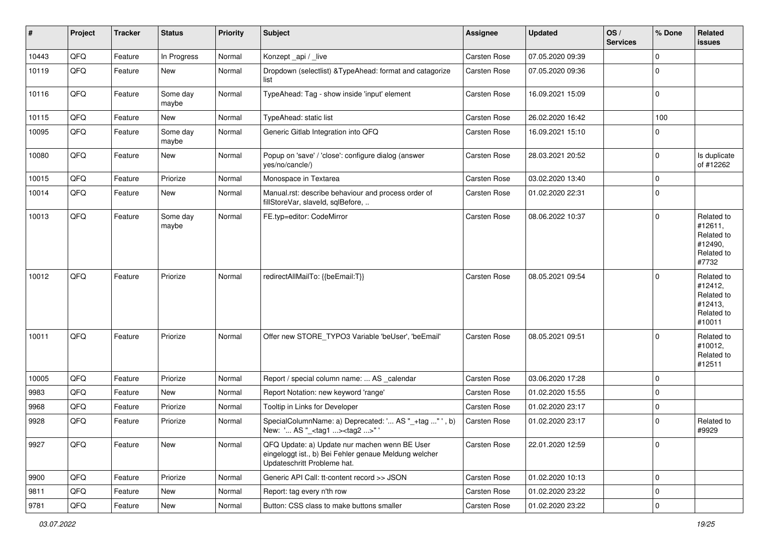| #     | Project | <b>Tracker</b> | <b>Status</b>     | <b>Priority</b> | <b>Subject</b>                                                                                                                        | <b>Assignee</b> | <b>Updated</b>   | OS/<br><b>Services</b> | % Done      | Related<br>issues                                                      |
|-------|---------|----------------|-------------------|-----------------|---------------------------------------------------------------------------------------------------------------------------------------|-----------------|------------------|------------------------|-------------|------------------------------------------------------------------------|
| 10443 | QFQ     | Feature        | In Progress       | Normal          | Konzept_api / _live                                                                                                                   | Carsten Rose    | 07.05.2020 09:39 |                        | $\Omega$    |                                                                        |
| 10119 | QFQ     | Feature        | New               | Normal          | Dropdown (selectlist) & TypeAhead: format and catagorize<br>list                                                                      | Carsten Rose    | 07.05.2020 09:36 |                        | $\Omega$    |                                                                        |
| 10116 | QFQ     | Feature        | Some day<br>maybe | Normal          | TypeAhead: Tag - show inside 'input' element                                                                                          | Carsten Rose    | 16.09.2021 15:09 |                        | $\mathbf 0$ |                                                                        |
| 10115 | QFQ     | Feature        | New               | Normal          | TypeAhead: static list                                                                                                                | Carsten Rose    | 26.02.2020 16:42 |                        | 100         |                                                                        |
| 10095 | QFQ     | Feature        | Some day<br>maybe | Normal          | Generic Gitlab Integration into QFQ                                                                                                   | Carsten Rose    | 16.09.2021 15:10 |                        | $\mathbf 0$ |                                                                        |
| 10080 | QFQ     | Feature        | New               | Normal          | Popup on 'save' / 'close': configure dialog (answer<br>yes/no/cancle/)                                                                | Carsten Rose    | 28.03.2021 20:52 |                        | $\Omega$    | Is duplicate<br>of #12262                                              |
| 10015 | QFQ     | Feature        | Priorize          | Normal          | Monospace in Textarea                                                                                                                 | Carsten Rose    | 03.02.2020 13:40 |                        | $\mathbf 0$ |                                                                        |
| 10014 | QFQ     | Feature        | New               | Normal          | Manual.rst: describe behaviour and process order of<br>fillStoreVar, slaveId, sqlBefore,                                              | Carsten Rose    | 01.02.2020 22:31 |                        | $\Omega$    |                                                                        |
| 10013 | QFQ     | Feature        | Some day<br>maybe | Normal          | FE.typ=editor: CodeMirror                                                                                                             | Carsten Rose    | 08.06.2022 10:37 |                        | $\mathbf 0$ | Related to<br>#12611,<br>Related to<br>#12490,<br>Related to<br>#7732  |
| 10012 | QFQ     | Feature        | Priorize          | Normal          | redirectAllMailTo: {{beEmail:T}}                                                                                                      | Carsten Rose    | 08.05.2021 09:54 |                        | $\Omega$    | Related to<br>#12412,<br>Related to<br>#12413,<br>Related to<br>#10011 |
| 10011 | QFQ     | Feature        | Priorize          | Normal          | Offer new STORE_TYPO3 Variable 'beUser', 'beEmail'                                                                                    | Carsten Rose    | 08.05.2021 09:51 |                        | $\Omega$    | Related to<br>#10012,<br>Related to<br>#12511                          |
| 10005 | QFQ     | Feature        | Priorize          | Normal          | Report / special column name:  AS _calendar                                                                                           | Carsten Rose    | 03.06.2020 17:28 |                        | $\mathbf 0$ |                                                                        |
| 9983  | QFQ     | Feature        | New               | Normal          | Report Notation: new keyword 'range'                                                                                                  | Carsten Rose    | 01.02.2020 15:55 |                        | $\mathbf 0$ |                                                                        |
| 9968  | QFQ     | Feature        | Priorize          | Normal          | Tooltip in Links for Developer                                                                                                        | Carsten Rose    | 01.02.2020 23:17 |                        | $\mathbf 0$ |                                                                        |
| 9928  | QFQ     | Feature        | Priorize          | Normal          | SpecialColumnName: a) Deprecated: ' AS "_+tag " ', b)<br>New: ' AS "_ <tag1><tag2>"</tag2></tag1>                                     | Carsten Rose    | 01.02.2020 23:17 |                        | $\Omega$    | Related to<br>#9929                                                    |
| 9927  | QFQ     | Feature        | New               | Normal          | QFQ Update: a) Update nur machen wenn BE User<br>eingeloggt ist., b) Bei Fehler genaue Meldung welcher<br>Updateschritt Probleme hat. | Carsten Rose    | 22.01.2020 12:59 |                        | $\mathbf 0$ |                                                                        |
| 9900  | QFQ     | Feature        | Priorize          | Normal          | Generic API Call: tt-content record >> JSON                                                                                           | Carsten Rose    | 01.02.2020 10:13 |                        | $\mathbf 0$ |                                                                        |
| 9811  | QFQ     | Feature        | New               | Normal          | Report: tag every n'th row                                                                                                            | Carsten Rose    | 01.02.2020 23:22 |                        | $\Omega$    |                                                                        |
| 9781  | QFQ     | Feature        | New               | Normal          | Button: CSS class to make buttons smaller                                                                                             | Carsten Rose    | 01.02.2020 23:22 |                        | $\mathbf 0$ |                                                                        |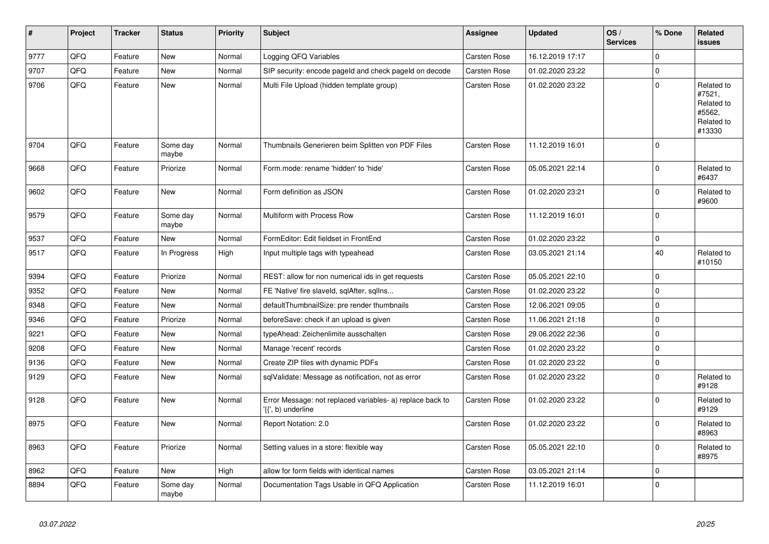| $\vert$ # | Project | <b>Tracker</b> | <b>Status</b>     | <b>Priority</b> | <b>Subject</b>                                                                  | Assignee     | <b>Updated</b>   | OS/<br><b>Services</b> | % Done      | Related<br><b>issues</b>                                             |
|-----------|---------|----------------|-------------------|-----------------|---------------------------------------------------------------------------------|--------------|------------------|------------------------|-------------|----------------------------------------------------------------------|
| 9777      | QFQ     | Feature        | <b>New</b>        | Normal          | Logging QFQ Variables                                                           | Carsten Rose | 16.12.2019 17:17 |                        | $\Omega$    |                                                                      |
| 9707      | QFQ     | Feature        | <b>New</b>        | Normal          | SIP security: encode pageld and check pageld on decode                          | Carsten Rose | 01.02.2020 23:22 |                        | $\Omega$    |                                                                      |
| 9706      | QFQ     | Feature        | <b>New</b>        | Normal          | Multi File Upload (hidden template group)                                       | Carsten Rose | 01.02.2020 23:22 |                        | $\mathbf 0$ | Related to<br>#7521,<br>Related to<br>#5562,<br>Related to<br>#13330 |
| 9704      | QFQ     | Feature        | Some day<br>maybe | Normal          | Thumbnails Generieren beim Splitten von PDF Files                               | Carsten Rose | 11.12.2019 16:01 |                        | $\Omega$    |                                                                      |
| 9668      | QFQ     | Feature        | Priorize          | Normal          | Form.mode: rename 'hidden' to 'hide'                                            | Carsten Rose | 05.05.2021 22:14 |                        | $\mathbf 0$ | Related to<br>#6437                                                  |
| 9602      | QFQ     | Feature        | New               | Normal          | Form definition as JSON                                                         | Carsten Rose | 01.02.2020 23:21 |                        | $\Omega$    | Related to<br>#9600                                                  |
| 9579      | QFQ     | Feature        | Some day<br>maybe | Normal          | Multiform with Process Row                                                      | Carsten Rose | 11.12.2019 16:01 |                        | $\mathbf 0$ |                                                                      |
| 9537      | QFQ     | Feature        | <b>New</b>        | Normal          | FormEditor: Edit fieldset in FrontEnd                                           | Carsten Rose | 01.02.2020 23:22 |                        | $\mathbf 0$ |                                                                      |
| 9517      | QFQ     | Feature        | In Progress       | High            | Input multiple tags with typeahead                                              | Carsten Rose | 03.05.2021 21:14 |                        | 40          | Related to<br>#10150                                                 |
| 9394      | QFQ     | Feature        | Priorize          | Normal          | REST: allow for non numerical ids in get requests                               | Carsten Rose | 05.05.2021 22:10 |                        | $\mathbf 0$ |                                                                      |
| 9352      | QFQ     | Feature        | <b>New</b>        | Normal          | FE 'Native' fire slaveld, sqlAfter, sqlIns                                      | Carsten Rose | 01.02.2020 23:22 |                        | $\Omega$    |                                                                      |
| 9348      | QFQ     | Feature        | New               | Normal          | defaultThumbnailSize: pre render thumbnails                                     | Carsten Rose | 12.06.2021 09:05 |                        | $\mathbf 0$ |                                                                      |
| 9346      | QFQ     | Feature        | Priorize          | Normal          | beforeSave: check if an upload is given                                         | Carsten Rose | 11.06.2021 21:18 |                        | $\mathbf 0$ |                                                                      |
| 9221      | QFQ     | Feature        | <b>New</b>        | Normal          | typeAhead: Zeichenlimite ausschalten                                            | Carsten Rose | 29.06.2022 22:36 |                        | $\mathbf 0$ |                                                                      |
| 9208      | QFQ     | Feature        | New               | Normal          | Manage 'recent' records                                                         | Carsten Rose | 01.02.2020 23:22 |                        | $\Omega$    |                                                                      |
| 9136      | QFQ     | Feature        | New               | Normal          | Create ZIP files with dynamic PDFs                                              | Carsten Rose | 01.02.2020 23:22 |                        | $\mathbf 0$ |                                                                      |
| 9129      | QFQ     | Feature        | New               | Normal          | sqlValidate: Message as notification, not as error                              | Carsten Rose | 01.02.2020 23:22 |                        | $\Omega$    | Related to<br>#9128                                                  |
| 9128      | QFQ     | Feature        | New               | Normal          | Error Message: not replaced variables- a) replace back to<br>'{{', b) underline | Carsten Rose | 01.02.2020 23:22 |                        | $\Omega$    | Related to<br>#9129                                                  |
| 8975      | QFQ     | Feature        | New               | Normal          | Report Notation: 2.0                                                            | Carsten Rose | 01.02.2020 23:22 |                        | $\Omega$    | Related to<br>#8963                                                  |
| 8963      | QFQ     | Feature        | Priorize          | Normal          | Setting values in a store: flexible way                                         | Carsten Rose | 05.05.2021 22:10 |                        | $\Omega$    | Related to<br>#8975                                                  |
| 8962      | QFQ     | Feature        | New               | High            | allow for form fields with identical names                                      | Carsten Rose | 03.05.2021 21:14 |                        | $\mathbf 0$ |                                                                      |
| 8894      | QFQ     | Feature        | Some day<br>maybe | Normal          | Documentation Tags Usable in QFQ Application                                    | Carsten Rose | 11.12.2019 16:01 |                        | $\mathbf 0$ |                                                                      |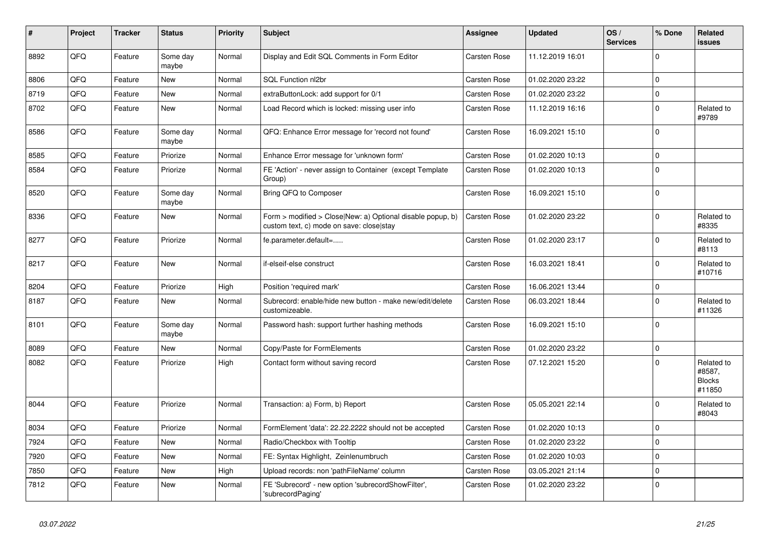| $\vert$ # | Project | <b>Tracker</b> | <b>Status</b>     | <b>Priority</b> | <b>Subject</b>                                                                                         | <b>Assignee</b> | <b>Updated</b>   | OS/<br><b>Services</b> | % Done      | Related<br><b>issues</b>                        |
|-----------|---------|----------------|-------------------|-----------------|--------------------------------------------------------------------------------------------------------|-----------------|------------------|------------------------|-------------|-------------------------------------------------|
| 8892      | QFQ     | Feature        | Some day<br>maybe | Normal          | Display and Edit SQL Comments in Form Editor                                                           | Carsten Rose    | 11.12.2019 16:01 |                        | $\Omega$    |                                                 |
| 8806      | QFQ     | Feature        | <b>New</b>        | Normal          | SQL Function nl2br                                                                                     | Carsten Rose    | 01.02.2020 23:22 |                        | $\mathbf 0$ |                                                 |
| 8719      | QFQ     | Feature        | <b>New</b>        | Normal          | extraButtonLock: add support for 0/1                                                                   | Carsten Rose    | 01.02.2020 23:22 |                        | $\mathbf 0$ |                                                 |
| 8702      | QFQ     | Feature        | New               | Normal          | Load Record which is locked: missing user info                                                         | Carsten Rose    | 11.12.2019 16:16 |                        | $\mathbf 0$ | Related to<br>#9789                             |
| 8586      | QFQ     | Feature        | Some day<br>maybe | Normal          | QFQ: Enhance Error message for 'record not found'                                                      | Carsten Rose    | 16.09.2021 15:10 |                        | $\Omega$    |                                                 |
| 8585      | QFQ     | Feature        | Priorize          | Normal          | Enhance Error message for 'unknown form'                                                               | Carsten Rose    | 01.02.2020 10:13 |                        | $\mathbf 0$ |                                                 |
| 8584      | QFQ     | Feature        | Priorize          | Normal          | FE 'Action' - never assign to Container (except Template<br>Group)                                     | Carsten Rose    | 01.02.2020 10:13 |                        | $\mathbf 0$ |                                                 |
| 8520      | QFQ     | Feature        | Some day<br>maybe | Normal          | Bring QFQ to Composer                                                                                  | Carsten Rose    | 16.09.2021 15:10 |                        | $\Omega$    |                                                 |
| 8336      | QFQ     | Feature        | New               | Normal          | Form > modified > Close New: a) Optional disable popup, b)<br>custom text, c) mode on save: close stay | Carsten Rose    | 01.02.2020 23:22 |                        | $\Omega$    | Related to<br>#8335                             |
| 8277      | QFQ     | Feature        | Priorize          | Normal          | fe.parameter.default=                                                                                  | Carsten Rose    | 01.02.2020 23:17 |                        | $\Omega$    | Related to<br>#8113                             |
| 8217      | QFQ     | Feature        | <b>New</b>        | Normal          | if-elseif-else construct                                                                               | Carsten Rose    | 16.03.2021 18:41 |                        | $\Omega$    | Related to<br>#10716                            |
| 8204      | QFQ     | Feature        | Priorize          | High            | Position 'required mark'                                                                               | Carsten Rose    | 16.06.2021 13:44 |                        | $\mathbf 0$ |                                                 |
| 8187      | QFQ     | Feature        | New               | Normal          | Subrecord: enable/hide new button - make new/edit/delete<br>customizeable.                             | Carsten Rose    | 06.03.2021 18:44 |                        | $\Omega$    | Related to<br>#11326                            |
| 8101      | QFQ     | Feature        | Some day<br>maybe | Normal          | Password hash: support further hashing methods                                                         | Carsten Rose    | 16.09.2021 15:10 |                        | $\Omega$    |                                                 |
| 8089      | QFQ     | Feature        | <b>New</b>        | Normal          | Copy/Paste for FormElements                                                                            | Carsten Rose    | 01.02.2020 23:22 |                        | $\pmb{0}$   |                                                 |
| 8082      | QFQ     | Feature        | Priorize          | High            | Contact form without saving record                                                                     | Carsten Rose    | 07.12.2021 15:20 |                        | $\mathbf 0$ | Related to<br>#8587,<br><b>Blocks</b><br>#11850 |
| 8044      | QFQ     | Feature        | Priorize          | Normal          | Transaction: a) Form, b) Report                                                                        | Carsten Rose    | 05.05.2021 22:14 |                        | $\mathbf 0$ | Related to<br>#8043                             |
| 8034      | QFQ     | Feature        | Priorize          | Normal          | FormElement 'data': 22.22.2222 should not be accepted                                                  | Carsten Rose    | 01.02.2020 10:13 |                        | $\mathbf 0$ |                                                 |
| 7924      | QFQ     | Feature        | <b>New</b>        | Normal          | Radio/Checkbox with Tooltip                                                                            | Carsten Rose    | 01.02.2020 23:22 |                        | $\mathbf 0$ |                                                 |
| 7920      | QFQ     | Feature        | <b>New</b>        | Normal          | FE: Syntax Highlight, Zeinlenumbruch                                                                   | Carsten Rose    | 01.02.2020 10:03 |                        | $\mathbf 0$ |                                                 |
| 7850      | QFQ     | Feature        | New               | High            | Upload records: non 'pathFileName' column                                                              | Carsten Rose    | 03.05.2021 21:14 |                        | $\mathbf 0$ |                                                 |
| 7812      | QFQ     | Feature        | New               | Normal          | FE 'Subrecord' - new option 'subrecordShowFilter',<br>'subrecordPaging'                                | Carsten Rose    | 01.02.2020 23:22 |                        | $\mathbf 0$ |                                                 |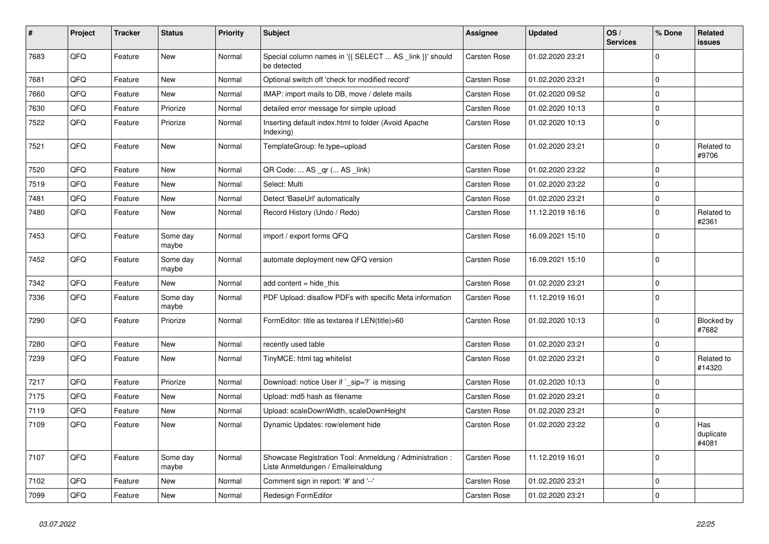| $\vert$ # | Project | <b>Tracker</b> | <b>Status</b>     | <b>Priority</b> | <b>Subject</b>                                                                                 | Assignee            | <b>Updated</b>   | OS/<br><b>Services</b> | % Done      | Related<br>issues         |
|-----------|---------|----------------|-------------------|-----------------|------------------------------------------------------------------------------------------------|---------------------|------------------|------------------------|-------------|---------------------------|
| 7683      | QFQ     | Feature        | <b>New</b>        | Normal          | Special column names in '{{ SELECT  AS _link }}' should<br>be detected                         | <b>Carsten Rose</b> | 01.02.2020 23:21 |                        | $\Omega$    |                           |
| 7681      | QFQ     | Feature        | <b>New</b>        | Normal          | Optional switch off 'check for modified record'                                                | Carsten Rose        | 01.02.2020 23:21 |                        | $\Omega$    |                           |
| 7660      | QFQ     | Feature        | <b>New</b>        | Normal          | IMAP: import mails to DB, move / delete mails                                                  | Carsten Rose        | 01.02.2020 09:52 |                        | $\Omega$    |                           |
| 7630      | QFQ     | Feature        | Priorize          | Normal          | detailed error message for simple upload                                                       | <b>Carsten Rose</b> | 01.02.2020 10:13 |                        | $\Omega$    |                           |
| 7522      | QFQ     | Feature        | Priorize          | Normal          | Inserting default index.html to folder (Avoid Apache<br>Indexing)                              | <b>Carsten Rose</b> | 01.02.2020 10:13 |                        | $\mathbf 0$ |                           |
| 7521      | QFQ     | Feature        | New               | Normal          | TemplateGroup: fe.type=upload                                                                  | Carsten Rose        | 01.02.2020 23:21 |                        | $\Omega$    | Related to<br>#9706       |
| 7520      | QFQ     | Feature        | <b>New</b>        | Normal          | QR Code:  AS _qr ( AS _link)                                                                   | Carsten Rose        | 01.02.2020 23:22 |                        | $\Omega$    |                           |
| 7519      | QFQ     | Feature        | <b>New</b>        | Normal          | Select: Multi                                                                                  | Carsten Rose        | 01.02.2020 23:22 |                        | $\Omega$    |                           |
| 7481      | QFQ     | Feature        | <b>New</b>        | Normal          | Detect 'BaseUrl' automatically                                                                 | Carsten Rose        | 01.02.2020 23:21 |                        | $\Omega$    |                           |
| 7480      | QFQ     | Feature        | <b>New</b>        | Normal          | Record History (Undo / Redo)                                                                   | Carsten Rose        | 11.12.2019 16:16 |                        | $\Omega$    | Related to<br>#2361       |
| 7453      | QFQ     | Feature        | Some day<br>maybe | Normal          | import / export forms QFQ                                                                      | <b>Carsten Rose</b> | 16.09.2021 15:10 |                        | $\Omega$    |                           |
| 7452      | QFQ     | Feature        | Some day<br>maybe | Normal          | automate deployment new QFQ version                                                            | Carsten Rose        | 16.09.2021 15:10 |                        | $\mathbf 0$ |                           |
| 7342      | QFQ     | Feature        | <b>New</b>        | Normal          | add content = hide this                                                                        | Carsten Rose        | 01.02.2020 23:21 |                        | $\mathbf 0$ |                           |
| 7336      | QFQ     | Feature        | Some day<br>maybe | Normal          | PDF Upload: disallow PDFs with specific Meta information                                       | Carsten Rose        | 11.12.2019 16:01 |                        | $\Omega$    |                           |
| 7290      | QFQ     | Feature        | Priorize          | Normal          | FormEditor: title as textarea if LEN(title)>60                                                 | <b>Carsten Rose</b> | 01.02.2020 10:13 |                        | $\Omega$    | Blocked by<br>#7682       |
| 7280      | QFQ     | Feature        | <b>New</b>        | Normal          | recently used table                                                                            | Carsten Rose        | 01.02.2020 23:21 |                        | $\mathbf 0$ |                           |
| 7239      | QFQ     | Feature        | <b>New</b>        | Normal          | TinyMCE: html tag whitelist                                                                    | Carsten Rose        | 01.02.2020 23:21 |                        | $\Omega$    | Related to<br>#14320      |
| 7217      | QFQ     | Feature        | Priorize          | Normal          | Download: notice User if `_sip=?` is missing                                                   | Carsten Rose        | 01.02.2020 10:13 |                        | $\Omega$    |                           |
| 7175      | QFQ     | Feature        | New               | Normal          | Upload: md5 hash as filename                                                                   | Carsten Rose        | 01.02.2020 23:21 |                        | $\Omega$    |                           |
| 7119      | QFQ     | Feature        | <b>New</b>        | Normal          | Upload: scaleDownWidth, scaleDownHeight                                                        | Carsten Rose        | 01.02.2020 23:21 |                        | $\mathbf 0$ |                           |
| 7109      | QFQ     | Feature        | <b>New</b>        | Normal          | Dynamic Updates: row/element hide                                                              | Carsten Rose        | 01.02.2020 23:22 |                        | $\Omega$    | Has<br>duplicate<br>#4081 |
| 7107      | QFQ     | Feature        | Some day<br>maybe | Normal          | Showcase Registration Tool: Anmeldung / Administration :<br>Liste Anmeldungen / Emaileinaldung | Carsten Rose        | 11.12.2019 16:01 |                        | $\Omega$    |                           |
| 7102      | QFQ     | Feature        | <b>New</b>        | Normal          | Comment sign in report: '#' and '--'                                                           | Carsten Rose        | 01.02.2020 23:21 |                        | 0           |                           |
| 7099      | QFQ     | Feature        | New               | Normal          | Redesign FormEditor                                                                            | Carsten Rose        | 01.02.2020 23:21 |                        | $\mathbf 0$ |                           |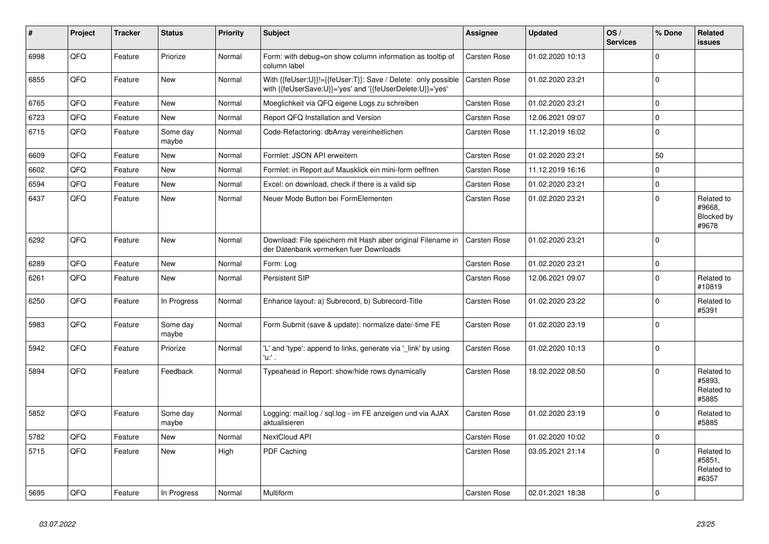| #    | Project | <b>Tracker</b> | <b>Status</b>     | <b>Priority</b> | <b>Subject</b>                                                                                                             | Assignee            | <b>Updated</b>   | OS/<br><b>Services</b> | % Done         | Related<br>issues                           |
|------|---------|----------------|-------------------|-----------------|----------------------------------------------------------------------------------------------------------------------------|---------------------|------------------|------------------------|----------------|---------------------------------------------|
| 6998 | QFQ     | Feature        | Priorize          | Normal          | Form: with debug=on show column information as tooltip of<br>column label                                                  | Carsten Rose        | 01.02.2020 10:13 |                        | $\Omega$       |                                             |
| 6855 | QFQ     | Feature        | <b>New</b>        | Normal          | With {{feUser:U}}!={{feUser:T}}: Save / Delete: only possible<br>with {{feUserSave:U}}='yes' and '{{feUserDelete:U}}='yes' | <b>Carsten Rose</b> | 01.02.2020 23:21 |                        | $\Omega$       |                                             |
| 6765 | QFQ     | Feature        | <b>New</b>        | Normal          | Moeglichkeit via QFQ eigene Logs zu schreiben                                                                              | Carsten Rose        | 01.02.2020 23:21 |                        | $\mathbf 0$    |                                             |
| 6723 | QFQ     | Feature        | <b>New</b>        | Normal          | Report QFQ Installation and Version                                                                                        | Carsten Rose        | 12.06.2021 09:07 |                        | $\mathbf 0$    |                                             |
| 6715 | QFQ     | Feature        | Some day<br>maybe | Normal          | Code-Refactoring: dbArray vereinheitlichen                                                                                 | Carsten Rose        | 11.12.2019 16:02 |                        | $\mathbf 0$    |                                             |
| 6609 | QFQ     | Feature        | <b>New</b>        | Normal          | Formlet: JSON API erweitern                                                                                                | Carsten Rose        | 01.02.2020 23:21 |                        | 50             |                                             |
| 6602 | QFQ     | Feature        | <b>New</b>        | Normal          | Formlet: in Report auf Mausklick ein mini-form oeffnen                                                                     | Carsten Rose        | 11.12.2019 16:16 |                        | $\Omega$       |                                             |
| 6594 | QFQ     | Feature        | <b>New</b>        | Normal          | Excel: on download, check if there is a valid sip                                                                          | Carsten Rose        | 01.02.2020 23:21 |                        | $\mathbf 0$    |                                             |
| 6437 | QFQ     | Feature        | <b>New</b>        | Normal          | Neuer Mode Button bei FormElementen                                                                                        | Carsten Rose        | 01.02.2020 23:21 |                        | $\Omega$       | Related to<br>#9668,<br>Blocked by<br>#9678 |
| 6292 | QFQ     | Feature        | <b>New</b>        | Normal          | Download: File speichern mit Hash aber original Filename in<br>der Datenbank vermerken fuer Downloads                      | Carsten Rose        | 01.02.2020 23:21 |                        | $\mathbf 0$    |                                             |
| 6289 | QFQ     | Feature        | <b>New</b>        | Normal          | Form: Log                                                                                                                  | Carsten Rose        | 01.02.2020 23:21 |                        | $\mathbf 0$    |                                             |
| 6261 | QFQ     | Feature        | <b>New</b>        | Normal          | Persistent SIP                                                                                                             | Carsten Rose        | 12.06.2021 09:07 |                        | $\Omega$       | Related to<br>#10819                        |
| 6250 | QFQ     | Feature        | In Progress       | Normal          | Enhance layout: a) Subrecord, b) Subrecord-Title                                                                           | Carsten Rose        | 01.02.2020 23:22 |                        | $\mathbf 0$    | Related to<br>#5391                         |
| 5983 | QFQ     | Feature        | Some day<br>maybe | Normal          | Form Submit (save & update): normalize date/-time FE                                                                       | Carsten Rose        | 01.02.2020 23:19 |                        | $\mathbf 0$    |                                             |
| 5942 | QFQ     | Feature        | Priorize          | Normal          | 'L' and 'type': append to links, generate via 'link' by using<br>'u:' .                                                    | Carsten Rose        | 01.02.2020 10:13 |                        | $\Omega$       |                                             |
| 5894 | QFQ     | Feature        | Feedback          | Normal          | Typeahead in Report: show/hide rows dynamically                                                                            | Carsten Rose        | 18.02.2022 08:50 |                        | $\Omega$       | Related to<br>#5893,<br>Related to<br>#5885 |
| 5852 | QFQ     | Feature        | Some day<br>maybe | Normal          | Logging: mail.log / sql.log - im FE anzeigen und via AJAX<br>aktualisieren                                                 | Carsten Rose        | 01.02.2020 23:19 |                        | $\Omega$       | Related to<br>#5885                         |
| 5782 | QFQ     | Feature        | <b>New</b>        | Normal          | NextCloud API                                                                                                              | Carsten Rose        | 01.02.2020 10:02 |                        | $\Omega$       |                                             |
| 5715 | QFQ     | Feature        | <b>New</b>        | High            | PDF Caching                                                                                                                | Carsten Rose        | 03.05.2021 21:14 |                        | $\mathbf 0$    | Related to<br>#5851,<br>Related to<br>#6357 |
| 5695 | QFQ     | Feature        | In Progress       | Normal          | <b>Multiform</b>                                                                                                           | Carsten Rose        | 02.01.2021 18:38 |                        | $\overline{0}$ |                                             |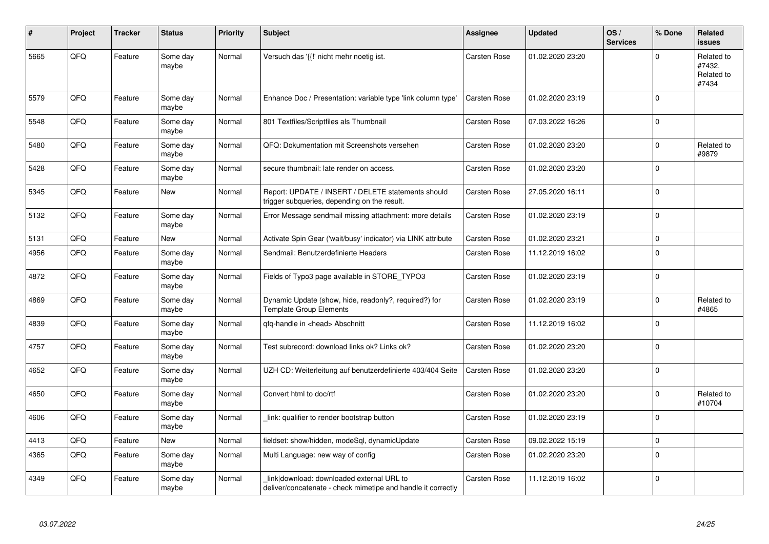| #    | Project | <b>Tracker</b> | <b>Status</b>     | <b>Priority</b> | <b>Subject</b>                                                                                            | <b>Assignee</b> | <b>Updated</b>   | OS/<br><b>Services</b> | % Done      | Related<br><b>issues</b>                    |
|------|---------|----------------|-------------------|-----------------|-----------------------------------------------------------------------------------------------------------|-----------------|------------------|------------------------|-------------|---------------------------------------------|
| 5665 | QFQ     | Feature        | Some day<br>maybe | Normal          | Versuch das '{{!' nicht mehr noetig ist.                                                                  | Carsten Rose    | 01.02.2020 23:20 |                        | $\Omega$    | Related to<br>#7432,<br>Related to<br>#7434 |
| 5579 | QFQ     | Feature        | Some day<br>maybe | Normal          | Enhance Doc / Presentation: variable type 'link column type'                                              | Carsten Rose    | 01.02.2020 23:19 |                        | $\Omega$    |                                             |
| 5548 | QFQ     | Feature        | Some day<br>maybe | Normal          | 801 Textfiles/Scriptfiles als Thumbnail                                                                   | Carsten Rose    | 07.03.2022 16:26 |                        | $\mathbf 0$ |                                             |
| 5480 | QFQ     | Feature        | Some day<br>maybe | Normal          | QFQ: Dokumentation mit Screenshots versehen                                                               | Carsten Rose    | 01.02.2020 23:20 |                        | $\Omega$    | Related to<br>#9879                         |
| 5428 | QFQ     | Feature        | Some day<br>maybe | Normal          | secure thumbnail: late render on access.                                                                  | Carsten Rose    | 01.02.2020 23:20 |                        | $\Omega$    |                                             |
| 5345 | QFQ     | Feature        | <b>New</b>        | Normal          | Report: UPDATE / INSERT / DELETE statements should<br>trigger subqueries, depending on the result.        | Carsten Rose    | 27.05.2020 16:11 |                        | $\mathbf 0$ |                                             |
| 5132 | QFQ     | Feature        | Some day<br>maybe | Normal          | Error Message sendmail missing attachment: more details                                                   | Carsten Rose    | 01.02.2020 23:19 |                        | $\Omega$    |                                             |
| 5131 | QFQ     | Feature        | New               | Normal          | Activate Spin Gear ('wait/busy' indicator) via LINK attribute                                             | Carsten Rose    | 01.02.2020 23:21 |                        | $\mathbf 0$ |                                             |
| 4956 | QFQ     | Feature        | Some day<br>maybe | Normal          | Sendmail: Benutzerdefinierte Headers                                                                      | Carsten Rose    | 11.12.2019 16:02 |                        | $\Omega$    |                                             |
| 4872 | QFQ     | Feature        | Some day<br>maybe | Normal          | Fields of Typo3 page available in STORE_TYPO3                                                             | Carsten Rose    | 01.02.2020 23:19 |                        | $\mathbf 0$ |                                             |
| 4869 | QFQ     | Feature        | Some day<br>maybe | Normal          | Dynamic Update (show, hide, readonly?, required?) for<br><b>Template Group Elements</b>                   | Carsten Rose    | 01.02.2020 23:19 |                        | $\Omega$    | Related to<br>#4865                         |
| 4839 | QFQ     | Feature        | Some day<br>maybe | Normal          | qfq-handle in <head> Abschnitt</head>                                                                     | Carsten Rose    | 11.12.2019 16:02 |                        | $\mathbf 0$ |                                             |
| 4757 | QFQ     | Feature        | Some day<br>maybe | Normal          | Test subrecord: download links ok? Links ok?                                                              | Carsten Rose    | 01.02.2020 23:20 |                        | $\Omega$    |                                             |
| 4652 | QFQ     | Feature        | Some day<br>maybe | Normal          | UZH CD: Weiterleitung auf benutzerdefinierte 403/404 Seite                                                | Carsten Rose    | 01.02.2020 23:20 |                        | $\Omega$    |                                             |
| 4650 | QFQ     | Feature        | Some day<br>maybe | Normal          | Convert html to doc/rtf                                                                                   | Carsten Rose    | 01.02.2020 23:20 |                        | $\mathbf 0$ | Related to<br>#10704                        |
| 4606 | QFQ     | Feature        | Some day<br>maybe | Normal          | link: qualifier to render bootstrap button                                                                | Carsten Rose    | 01.02.2020 23:19 |                        | $\Omega$    |                                             |
| 4413 | QFQ     | Feature        | New               | Normal          | fieldset: show/hidden, modeSql, dynamicUpdate                                                             | Carsten Rose    | 09.02.2022 15:19 |                        | $\mathbf 0$ |                                             |
| 4365 | QFQ     | Feature        | Some day<br>maybe | Normal          | Multi Language: new way of config                                                                         | Carsten Rose    | 01.02.2020 23:20 |                        | $\Omega$    |                                             |
| 4349 | QFQ     | Feature        | Some day<br>maybe | Normal          | link download: downloaded external URL to<br>deliver/concatenate - check mimetipe and handle it correctly | Carsten Rose    | 11.12.2019 16:02 |                        | $\Omega$    |                                             |